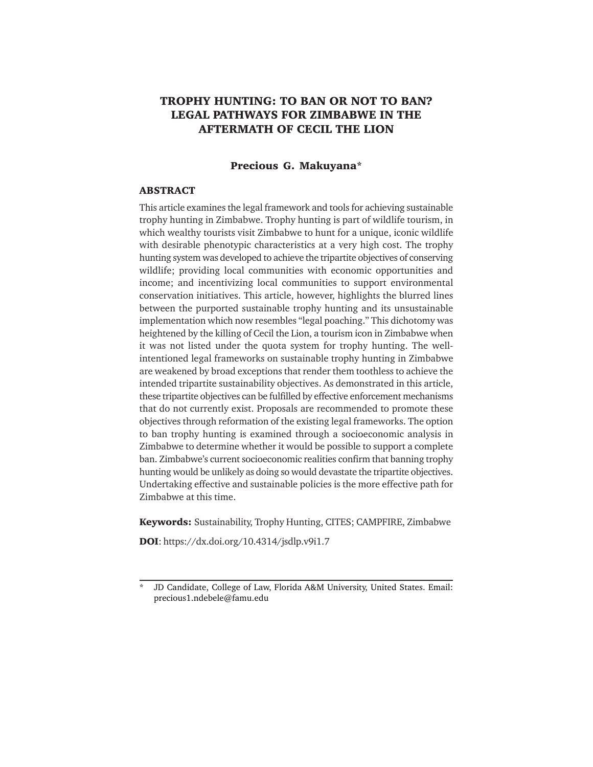# **TROPHY HUNTING: TO BAN OR NOT TO BAN? LEGAL PATHWAYS FOR ZIMBABWE IN THE AFTERMATH OF CECIL THE LION**

#### **Precious G. Makuyana\***

#### **ABSTRACT**

This article examines the legal framework and tools for achieving sustainable trophy hunting in Zimbabwe. Trophy hunting is part of wildlife tourism, in which wealthy tourists visit Zimbabwe to hunt for a unique, iconic wildlife with desirable phenotypic characteristics at a very high cost. The trophy hunting system was developed to achieve the tripartite objectives of conserving wildlife; providing local communities with economic opportunities and income; and incentivizing local communities to support environmental conservation initiatives. This article, however, highlights the blurred lines between the purported sustainable trophy hunting and its unsustainable implementation which now resembles "legal poaching." This dichotomy was heightened by the killing of Cecil the Lion, a tourism icon in Zimbabwe when it was not listed under the quota system for trophy hunting. The wellintentioned legal frameworks on sustainable trophy hunting in Zimbabwe are weakened by broad exceptions that render them toothless to achieve the intended tripartite sustainability objectives. As demonstrated in this article, these tripartite objectives can be fulfilled by effective enforcement mechanisms that do not currently exist. Proposals are recommended to promote these objectives through reformation of the existing legal frameworks. The option to ban trophy hunting is examined through a socioeconomic analysis in Zimbabwe to determine whether it would be possible to support a complete ban. Zimbabwe's current socioeconomic realities confirm that banning trophy hunting would be unlikely as doing so would devastate the tripartite objectives. Undertaking effective and sustainable policies is the more effective path for Zimbabwe at this time.

**Keywords:** Sustainability, Trophy Hunting, CITES; CAMPFIRE, Zimbabwe

**DOI**: https://dx.doi.org/10.4314/jsdlp.v9i1.7

JD Candidate, College of Law, Florida A&M University, United States. Email: precious1.ndebele@famu.edu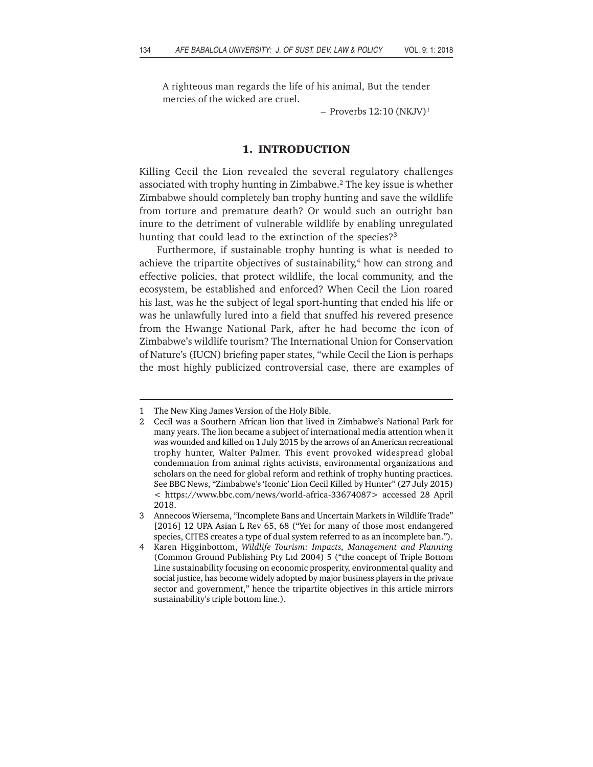A righteous man regards the life of his animal, But the tender mercies of the wicked are cruel.

 $-$  Proverbs 12:10 (NKJV)<sup>1</sup>

#### **1. INTRODUCTION**

Killing Cecil the Lion revealed the several regulatory challenges associated with trophy hunting in Zimbabwe.2 The key issue is whether Zimbabwe should completely ban trophy hunting and save the wildlife from torture and premature death? Or would such an outright ban inure to the detriment of vulnerable wildlife by enabling unregulated hunting that could lead to the extinction of the species?<sup>3</sup>

Furthermore, if sustainable trophy hunting is what is needed to achieve the tripartite objectives of sustainability, $4$  how can strong and effective policies, that protect wildlife, the local community, and the ecosystem, be established and enforced? When Cecil the Lion roared his last, was he the subject of legal sport-hunting that ended his life or was he unlawfully lured into a field that snuffed his revered presence from the Hwange National Park, after he had become the icon of Zimbabwe's wildlife tourism? The International Union for Conservation of Nature's (IUCN) briefing paper states, "while Cecil the Lion is perhaps the most highly publicized controversial case, there are examples of

<sup>1</sup> The New King James Version of the Holy Bible.

<sup>2</sup> Cecil was a Southern African lion that lived in Zimbabwe's National Park for many years. The lion became a subject of international media attention when it was wounded and killed on 1 July 2015 by the arrows of an American recreational trophy hunter, Walter Palmer. This event provoked widespread global condemnation from animal rights activists, environmental organizations and scholars on the need for global reform and rethink of trophy hunting practices. See BBC News, "Zimbabwe's 'Iconic' Lion Cecil Killed by Hunter" (27 July 2015) < https://www.bbc.com/news/world-africa-33674087> accessed 28 April 2018.

<sup>3</sup> Annecoos Wiersema, "Incomplete Bans and Uncertain Markets in Wildlife Trade" [2016] 12 UPA Asian L Rev 65, 68 ("Yet for many of those most endangered species, CITES creates a type of dual system referred to as an incomplete ban.").

<sup>4</sup> Karen Higginbottom, *Wildlife Tourism: Impacts, Management and Planning* (Common Ground Publishing Pty Ltd 2004) 5 ("the concept of Triple Bottom Line sustainability focusing on economic prosperity, environmental quality and social justice, has become widely adopted by major business players in the private sector and government," hence the tripartite objectives in this article mirrors sustainability's triple bottom line.).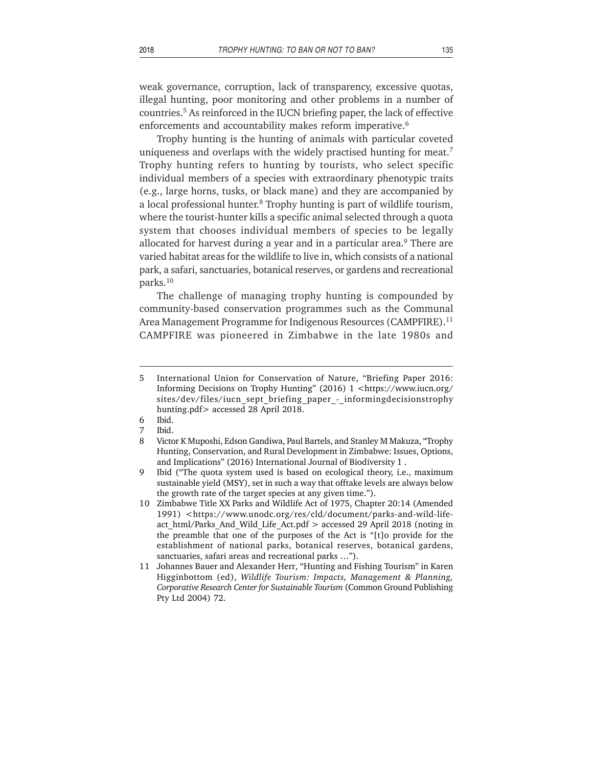weak governance, corruption, lack of transparency, excessive quotas, illegal hunting, poor monitoring and other problems in a number of countries.5 As reinforced in the IUCN briefing paper, the lack of effective enforcements and accountability makes reform imperative.<sup>6</sup>

Trophy hunting is the hunting of animals with particular coveted uniqueness and overlaps with the widely practised hunting for meat.<sup>7</sup> Trophy hunting refers to hunting by tourists, who select specific individual members of a species with extraordinary phenotypic traits (e.g., large horns, tusks, or black mane) and they are accompanied by a local professional hunter.<sup>8</sup> Trophy hunting is part of wildlife tourism, where the tourist-hunter kills a specific animal selected through a quota system that chooses individual members of species to be legally allocated for harvest during a year and in a particular area.<sup>9</sup> There are varied habitat areas for the wildlife to live in, which consists of a national park, a safari, sanctuaries, botanical reserves, or gardens and recreational parks.10

The challenge of managing trophy hunting is compounded by community-based conservation programmes such as the Communal Area Management Programme for Indigenous Resources (CAMPFIRE).<sup>11</sup> CAMPFIRE was pioneered in Zimbabwe in the late 1980s and

<sup>5</sup> International Union for Conservation of Nature, "Briefing Paper 2016: Informing Decisions on Trophy Hunting" (2016) 1 <https://www.iucn.org/ sites/dev/files/iucn\_sept\_briefing\_paper\_-\_informingdecisionstrophy hunting.pdf> accessed 28 April 2018.

<sup>6</sup> Ibid.

<sup>7</sup> Ibid.

<sup>8</sup> Victor K Muposhi, Edson Gandiwa, Paul Bartels, and Stanley M Makuza, "Trophy Hunting, Conservation, and Rural Development in Zimbabwe: Issues, Options, and Implications" (2016) International Journal of Biodiversity 1 .

<sup>9</sup> Ibid ("The quota system used is based on ecological theory, i.e., maximum sustainable yield (MSY), set in such a way that offtake levels are always below the growth rate of the target species at any given time.").

<sup>10</sup> Zimbabwe Title XX Parks and Wildlife Act of 1975, Chapter 20:14 (Amended 1991) <https://www.unodc.org/res/cld/document/parks-and-wild-lifeact html/Parks And Wild Life Act.pdf > accessed 29 April 2018 (noting in the preamble that one of the purposes of the Act is "[t]o provide for the establishment of national parks, botanical reserves, botanical gardens, sanctuaries, safari areas and recreational parks …").

<sup>11</sup> Johannes Bauer and Alexander Herr, "Hunting and Fishing Tourism" in Karen Higginbottom (ed), *Wildlife Tourism: Impacts, Management & Planning, Corporative Research Center for Sustainable Tourism* (Common Ground Publishing Pty Ltd 2004) 72.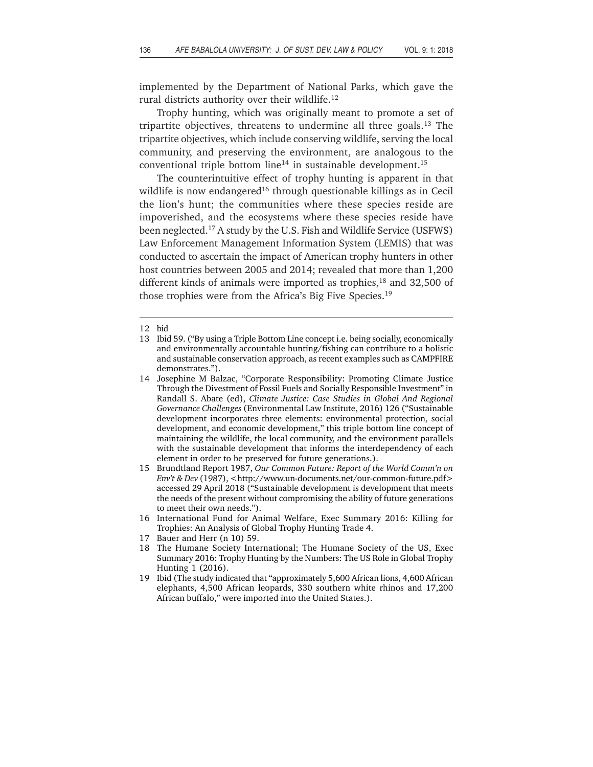implemented by the Department of National Parks, which gave the rural districts authority over their wildlife.<sup>12</sup>

Trophy hunting, which was originally meant to promote a set of tripartite objectives, threatens to undermine all three goals.<sup>13</sup> The tripartite objectives, which include conserving wildlife, serving the local community, and preserving the environment, are analogous to the conventional triple bottom line<sup>14</sup> in sustainable development.<sup>15</sup>

The counterintuitive effect of trophy hunting is apparent in that wildlife is now endangered<sup>16</sup> through questionable killings as in Cecil the lion's hunt; the communities where these species reside are impoverished, and the ecosystems where these species reside have been neglected.17 A study by the U.S. Fish and Wildlife Service (USFWS) Law Enforcement Management Information System (LEMIS) that was conducted to ascertain the impact of American trophy hunters in other host countries between 2005 and 2014; revealed that more than 1,200 different kinds of animals were imported as trophies, $18$  and 32,500 of those trophies were from the Africa's Big Five Species.19

- 16 International Fund for Animal Welfare, Exec Summary 2016: Killing for Trophies: An Analysis of Global Trophy Hunting Trade 4.
- 17 Bauer and Herr (n 10) 59.
- 18 The Humane Society International; The Humane Society of the US, Exec Summary 2016: Trophy Hunting by the Numbers: The US Role in Global Trophy Hunting 1 (2016).
- 19 Ibid (The study indicated that "approximately 5,600 African lions, 4,600 African elephants, 4,500 African leopards, 330 southern white rhinos and 17,200 African buffalo," were imported into the United States.).

<sup>12</sup> bid

<sup>13</sup> Ibid 59. ("By using a Triple Bottom Line concept i.e. being socially, economically and environmentally accountable hunting/fishing can contribute to a holistic and sustainable conservation approach, as recent examples such as CAMPFIRE demonstrates.").

<sup>14</sup> Josephine M Balzac, "Corporate Responsibility: Promoting Climate Justice Through the Divestment of Fossil Fuels and Socially Responsible Investment" in Randall S. Abate (ed), *Climate Justice: Case Studies in Global And Regional Governance Challenges* (Environmental Law Institute, 2016) 126 ("Sustainable development incorporates three elements: environmental protection, social development, and economic development," this triple bottom line concept of maintaining the wildlife, the local community, and the environment parallels with the sustainable development that informs the interdependency of each element in order to be preserved for future generations.).

<sup>15</sup> Brundtland Report 1987, *Our Common Future: Report of the World Comm'n on Env't & Dev* (1987), <http://www.un-documents.net/our-common-future.pdf> accessed 29 April 2018 ("Sustainable development is development that meets the needs of the present without compromising the ability of future generations to meet their own needs.").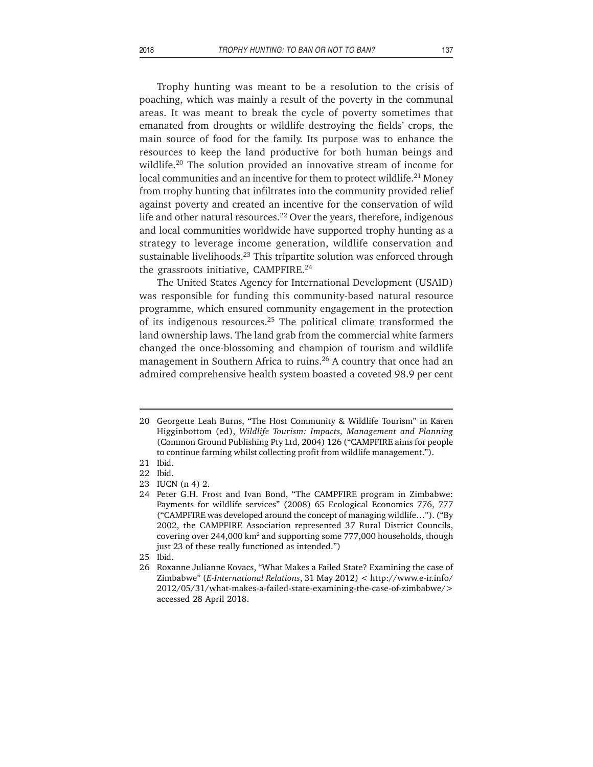Trophy hunting was meant to be a resolution to the crisis of poaching, which was mainly a result of the poverty in the communal areas. It was meant to break the cycle of poverty sometimes that emanated from droughts or wildlife destroying the fields' crops, the main source of food for the family. Its purpose was to enhance the resources to keep the land productive for both human beings and wildlife.20 The solution provided an innovative stream of income for local communities and an incentive for them to protect wildlife.<sup>21</sup> Money from trophy hunting that infiltrates into the community provided relief against poverty and created an incentive for the conservation of wild life and other natural resources.<sup>22</sup> Over the years, therefore, indigenous and local communities worldwide have supported trophy hunting as a strategy to leverage income generation, wildlife conservation and sustainable livelihoods.<sup>23</sup> This tripartite solution was enforced through the grassroots initiative, CAMPFIRE.<sup>24</sup>

The United States Agency for International Development (USAID) was responsible for funding this community-based natural resource programme, which ensured community engagement in the protection of its indigenous resources.25 The political climate transformed the land ownership laws. The land grab from the commercial white farmers changed the once-blossoming and champion of tourism and wildlife management in Southern Africa to ruins.<sup>26</sup> A country that once had an admired comprehensive health system boasted a coveted 98.9 per cent

<sup>20</sup> Georgette Leah Burns, "The Host Community & Wildlife Tourism" in Karen Higginbottom (ed), *Wildlife Tourism: Impacts, Management and Planning* (Common Ground Publishing Pty Ltd, 2004) 126 ("CAMPFIRE aims for people to continue farming whilst collecting profit from wildlife management.").

<sup>21</sup> Ibid.

<sup>22</sup> Ibid.

<sup>23</sup> IUCN (n 4) 2.

<sup>24</sup> Peter G.H. Frost and Ivan Bond, "The CAMPFIRE program in Zimbabwe: Payments for wildlife services" (2008) 65 Ecological Economics 776, 777 ("CAMPFIRE was developed around the concept of managing wildlife…"). ("By 2002, the CAMPFIRE Association represented 37 Rural District Councils, covering over 244,000 km $^{\rm 2}$  and supporting some 777,000 households, though just 23 of these really functioned as intended.")

<sup>25</sup> Ibid.

<sup>26</sup> Roxanne Julianne Kovacs, "What Makes a Failed State? Examining the case of Zimbabwe" (*E-International Relations*, 31 May 2012) < http://www.e-ir.info/ 2012/05/31/what-makes-a-failed-state-examining-the-case-of-zimbabwe/> accessed 28 April 2018.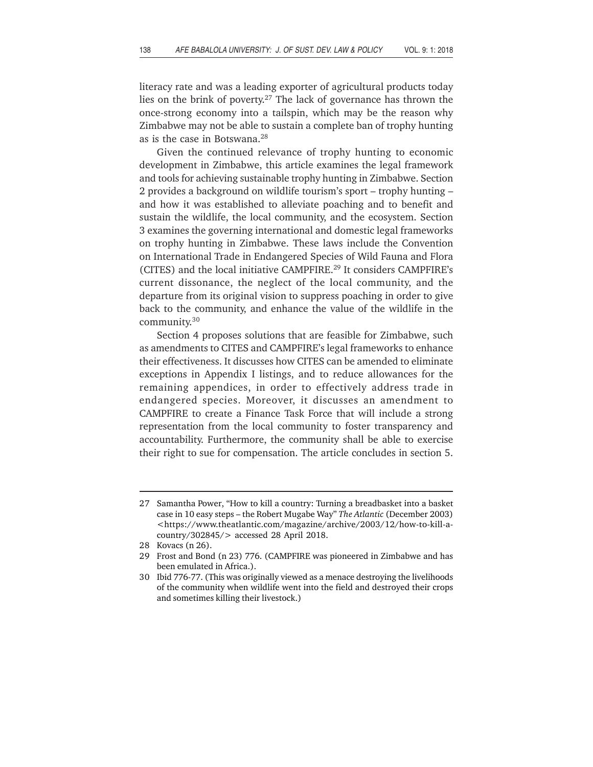literacy rate and was a leading exporter of agricultural products today lies on the brink of poverty.27 The lack of governance has thrown the once-strong economy into a tailspin, which may be the reason why Zimbabwe may not be able to sustain a complete ban of trophy hunting as is the case in Botswana.28

Given the continued relevance of trophy hunting to economic development in Zimbabwe, this article examines the legal framework and tools for achieving sustainable trophy hunting in Zimbabwe. Section 2 provides a background on wildlife tourism's sport – trophy hunting – and how it was established to alleviate poaching and to benefit and sustain the wildlife, the local community, and the ecosystem. Section 3 examines the governing international and domestic legal frameworks on trophy hunting in Zimbabwe. These laws include the Convention on International Trade in Endangered Species of Wild Fauna and Flora (CITES) and the local initiative CAMPFIRE.29 It considers CAMPFIRE's current dissonance, the neglect of the local community, and the departure from its original vision to suppress poaching in order to give back to the community, and enhance the value of the wildlife in the community.30

Section 4 proposes solutions that are feasible for Zimbabwe, such as amendments to CITES and CAMPFIRE's legal frameworks to enhance their effectiveness. It discusses how CITES can be amended to eliminate exceptions in Appendix I listings, and to reduce allowances for the remaining appendices, in order to effectively address trade in endangered species. Moreover, it discusses an amendment to CAMPFIRE to create a Finance Task Force that will include a strong representation from the local community to foster transparency and accountability. Furthermore, the community shall be able to exercise their right to sue for compensation. The article concludes in section 5.

<sup>27</sup> Samantha Power, "How to kill a country: Turning a breadbasket into a basket case in 10 easy steps – the Robert Mugabe Way" *The Atlantic* (December 2003) <https://www.theatlantic.com/magazine/archive/2003/12/how-to-kill-acountry/302845/> accessed 28 April 2018.

<sup>28</sup> Kovacs (n 26).

<sup>29</sup> Frost and Bond (n 23) 776. (CAMPFIRE was pioneered in Zimbabwe and has been emulated in Africa.).

<sup>30</sup> Ibid 776-77. (This was originally viewed as a menace destroying the livelihoods of the community when wildlife went into the field and destroyed their crops and sometimes killing their livestock.)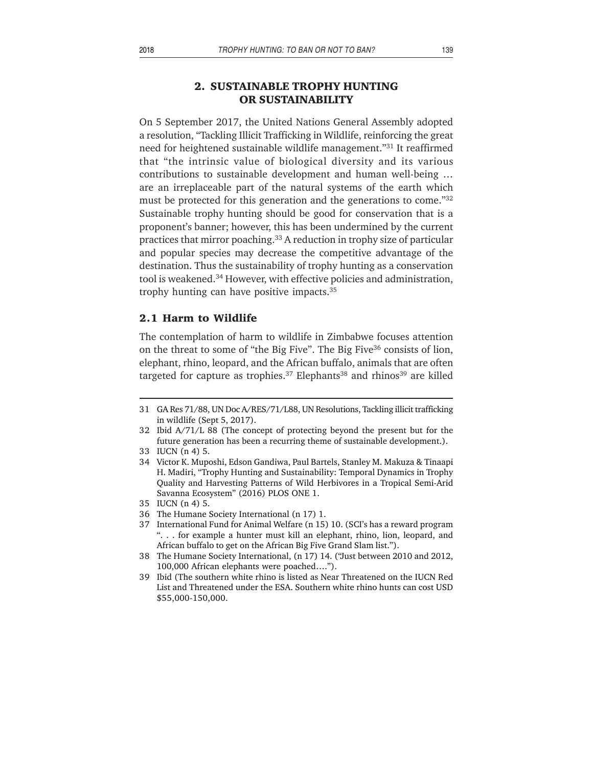# **2. SUSTAINABLE TROPHY HUNTING OR SUSTAINABILITY**

On 5 September 2017, the United Nations General Assembly adopted a resolution, "Tackling Illicit Trafficking in Wildlife, reinforcing the great need for heightened sustainable wildlife management."31 It reaffirmed that "the intrinsic value of biological diversity and its various contributions to sustainable development and human well-being … are an irreplaceable part of the natural systems of the earth which must be protected for this generation and the generations to come."32 Sustainable trophy hunting should be good for conservation that is a proponent's banner; however, this has been undermined by the current practices that mirror poaching.33 A reduction in trophy size of particular and popular species may decrease the competitive advantage of the destination. Thus the sustainability of trophy hunting as a conservation tool is weakened.<sup>34</sup> However, with effective policies and administration, trophy hunting can have positive impacts.35

#### **2.1 Harm to Wildlife**

The contemplation of harm to wildlife in Zimbabwe focuses attention on the threat to some of "the Big Five". The Big Five<sup>36</sup> consists of lion, elephant, rhino, leopard, and the African buffalo, animals that are often targeted for capture as trophies.<sup>37</sup> Elephants<sup>38</sup> and rhinos<sup>39</sup> are killed

- 34 Victor K. Muposhi, Edson Gandiwa, Paul Bartels, Stanley M. Makuza & Tinaapi H. Madiri, "Trophy Hunting and Sustainability: Temporal Dynamics in Trophy Quality and Harvesting Patterns of Wild Herbivores in a Tropical Semi-Arid Savanna Ecosystem" (2016) PLOS ONE 1.
- 35 IUCN (n 4) 5.
- 36 The Humane Society International (n 17) 1.
- 37 International Fund for Animal Welfare (n 15) 10. (SCI's has a reward program ". . . for example a hunter must kill an elephant, rhino, lion, leopard, and African buffalo to get on the African Big Five Grand Slam list.").
- 38 The Humane Society International, (n 17) 14. ("Just between 2010 and 2012, 100,000 African elephants were poached….").
- 39 Ibid (The southern white rhino is listed as Near Threatened on the IUCN Red List and Threatened under the ESA. Southern white rhino hunts can cost USD \$55,000-150,000.

<sup>31</sup> GA Res 71/88, UN Doc A/RES/71/L88, UN Resolutions, Tackling illicit trafficking in wildlife (Sept 5, 2017).

<sup>32</sup> Ibid A/71/L 88 (The concept of protecting beyond the present but for the future generation has been a recurring theme of sustainable development.).

<sup>33</sup> IUCN (n 4) 5.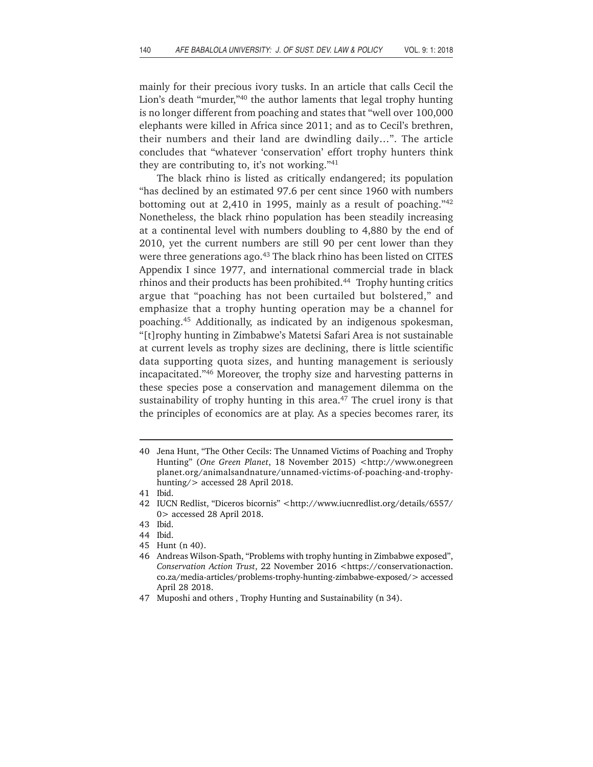mainly for their precious ivory tusks. In an article that calls Cecil the Lion's death "murder,"40 the author laments that legal trophy hunting is no longer different from poaching and states that "well over 100,000 elephants were killed in Africa since 2011; and as to Cecil's brethren, their numbers and their land are dwindling daily…". The article concludes that "whatever 'conservation' effort trophy hunters think they are contributing to, it's not working."41

The black rhino is listed as critically endangered; its population "has declined by an estimated 97.6 per cent since 1960 with numbers bottoming out at 2,410 in 1995, mainly as a result of poaching."42 Nonetheless, the black rhino population has been steadily increasing at a continental level with numbers doubling to 4,880 by the end of 2010, yet the current numbers are still 90 per cent lower than they were three generations ago.<sup>43</sup> The black rhino has been listed on CITES Appendix I since 1977, and international commercial trade in black rhinos and their products has been prohibited.<sup>44</sup> Trophy hunting critics argue that "poaching has not been curtailed but bolstered," and emphasize that a trophy hunting operation may be a channel for poaching.45 Additionally, as indicated by an indigenous spokesman, "[t]rophy hunting in Zimbabwe's Matetsi Safari Area is not sustainable at current levels as trophy sizes are declining, there is little scientific data supporting quota sizes, and hunting management is seriously incapacitated."46 Moreover, the trophy size and harvesting patterns in these species pose a conservation and management dilemma on the sustainability of trophy hunting in this area.<sup>47</sup> The cruel irony is that the principles of economics are at play. As a species becomes rarer, its

<sup>40</sup> Jena Hunt, "The Other Cecils: The Unnamed Victims of Poaching and Trophy Hunting" (*One Green Planet*, 18 November 2015) <http://www.onegreen planet.org/animalsandnature/unnamed-victims-of-poaching-and-trophyhunting/> accessed 28 April 2018.

<sup>41</sup> Ibid.

<sup>42</sup> IUCN Redlist, "Diceros bicornis" <http://www.iucnredlist.org/details/6557/ 0> accessed 28 April 2018.

<sup>43</sup> Ibid.

<sup>44</sup> Ibid.

<sup>45</sup> Hunt (n 40).

<sup>46</sup> Andreas Wilson-Spath, "Problems with trophy hunting in Zimbabwe exposed", *Conservation Action Trust*, 22 November 2016 <https://conservationaction. co.za/media-articles/problems-trophy-hunting-zimbabwe-exposed/> accessed April 28 2018.

<sup>47</sup> Muposhi and others , Trophy Hunting and Sustainability (n 34).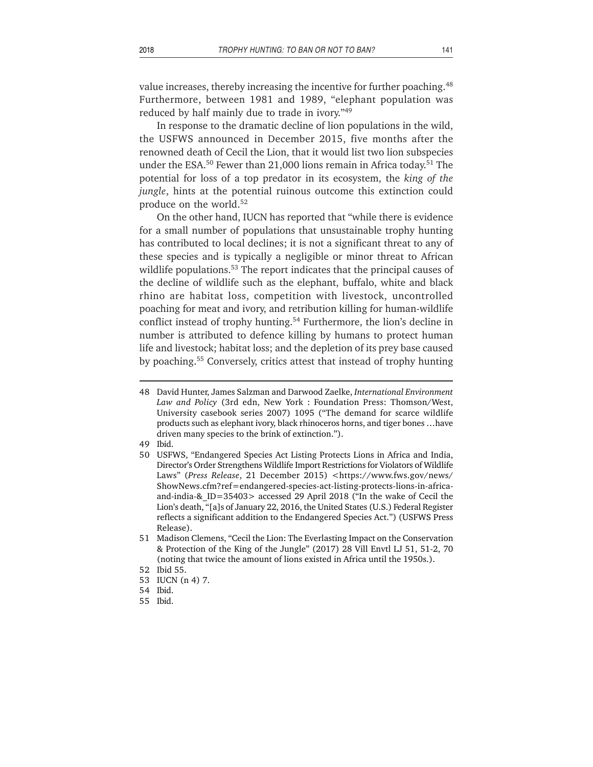value increases, thereby increasing the incentive for further poaching.<sup>48</sup> Furthermore, between 1981 and 1989, "elephant population was reduced by half mainly due to trade in ivory."49

In response to the dramatic decline of lion populations in the wild, the USFWS announced in December 2015, five months after the renowned death of Cecil the Lion, that it would list two lion subspecies under the ESA.<sup>50</sup> Fewer than 21,000 lions remain in Africa today.<sup>51</sup> The potential for loss of a top predator in its ecosystem, the *king of the jungle*, hints at the potential ruinous outcome this extinction could produce on the world.52

On the other hand, IUCN has reported that "while there is evidence for a small number of populations that unsustainable trophy hunting has contributed to local declines; it is not a significant threat to any of these species and is typically a negligible or minor threat to African wildlife populations.<sup>53</sup> The report indicates that the principal causes of the decline of wildlife such as the elephant, buffalo, white and black rhino are habitat loss, competition with livestock, uncontrolled poaching for meat and ivory, and retribution killing for human-wildlife conflict instead of trophy hunting.<sup>54</sup> Furthermore, the lion's decline in number is attributed to defence killing by humans to protect human life and livestock; habitat loss; and the depletion of its prey base caused by poaching.55 Conversely, critics attest that instead of trophy hunting

- 49 Ibid.
- 50 USFWS, "Endangered Species Act Listing Protects Lions in Africa and India, Director's Order Strengthens Wildlife Import Restrictions for Violators of Wildlife Laws" (*Press Release*, 21 December 2015) <https://www.fws.gov/news/ ShowNews.cfm?ref=endangered-species-act-listing-protects-lions-in-africaand-india-&\_ID=35403> accessed 29 April 2018 ("In the wake of Cecil the Lion's death, "[a]s of January 22, 2016, the United States (U.S.) Federal Register reflects a significant addition to the Endangered Species Act.") (USFWS Press Release).
- 51 Madison Clemens, "Cecil the Lion: The Everlasting Impact on the Conservation & Protection of the King of the Jungle" (2017) 28 Vill Envtl LJ 51, 51-2, 70 (noting that twice the amount of lions existed in Africa until the 1950s.).
- 52 Ibid 55.
- 53 IUCN (n 4) 7.
- 54 Ibid.
- 55 Ibid.

<sup>48</sup> David Hunter, James Salzman and Darwood Zaelke, *International Environment Law and Policy* (3rd edn, New York : Foundation Press: Thomson/West, University casebook series 2007) 1095 ("The demand for scarce wildlife products such as elephant ivory, black rhinoceros horns, and tiger bones …have driven many species to the brink of extinction.").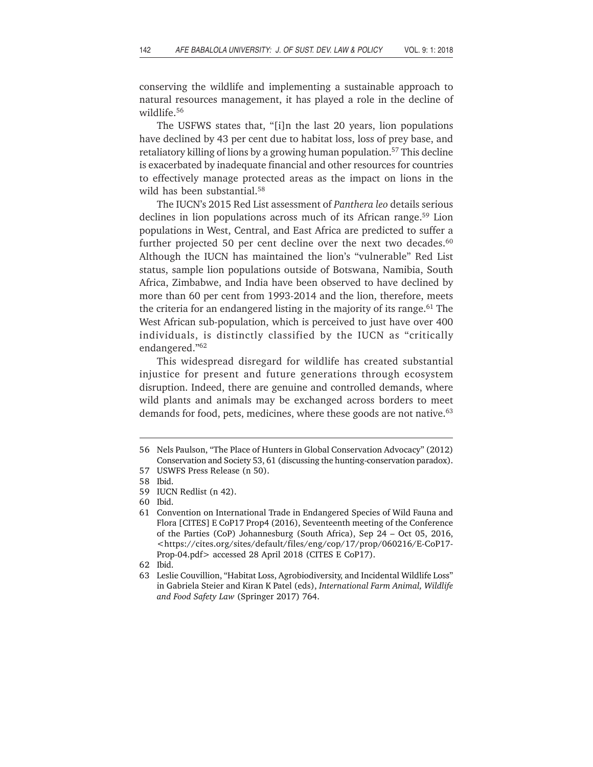conserving the wildlife and implementing a sustainable approach to natural resources management, it has played a role in the decline of wildlife.56

The USFWS states that, "[i]n the last 20 years, lion populations have declined by 43 per cent due to habitat loss, loss of prey base, and retaliatory killing of lions by a growing human population.57 This decline is exacerbated by inadequate financial and other resources for countries to effectively manage protected areas as the impact on lions in the wild has been substantial.<sup>58</sup>

The IUCN's 2015 Red List assessment of *Panthera leo* details serious declines in lion populations across much of its African range.<sup>59</sup> Lion populations in West, Central, and East Africa are predicted to suffer a further projected 50 per cent decline over the next two decades. $60$ Although the IUCN has maintained the lion's "vulnerable" Red List status, sample lion populations outside of Botswana, Namibia, South Africa, Zimbabwe, and India have been observed to have declined by more than 60 per cent from 1993-2014 and the lion, therefore, meets the criteria for an endangered listing in the majority of its range.<sup>61</sup> The West African sub-population, which is perceived to just have over 400 individuals, is distinctly classified by the IUCN as "critically endangered."62

This widespread disregard for wildlife has created substantial injustice for present and future generations through ecosystem disruption. Indeed, there are genuine and controlled demands, where wild plants and animals may be exchanged across borders to meet demands for food, pets, medicines, where these goods are not native.<sup>63</sup>

<sup>56</sup> Nels Paulson, "The Place of Hunters in Global Conservation Advocacy" (2012) Conservation and Society 53, 61 (discussing the hunting-conservation paradox).

<sup>57</sup> USWFS Press Release (n 50).

<sup>58</sup> Ibid.

<sup>59</sup> IUCN Redlist (n 42).

<sup>60</sup> Ibid.

<sup>61</sup> Convention on International Trade in Endangered Species of Wild Fauna and Flora [CITES] E CoP17 Prop4 (2016), Seventeenth meeting of the Conference of the Parties (CoP) Johannesburg (South Africa), Sep 24 – Oct 05, 2016, <https://cites.org/sites/default/files/eng/cop/17/prop/060216/E-CoP17- Prop-04.pdf> accessed 28 April 2018 (CITES E CoP17).

<sup>62</sup> Ibid.

<sup>63</sup> Leslie Couvillion, "Habitat Loss, Agrobiodiversity, and Incidental Wildlife Loss" in Gabriela Steier and Kiran K Patel (eds), *International Farm Animal, Wildlife and Food Safety Law* (Springer 2017) 764.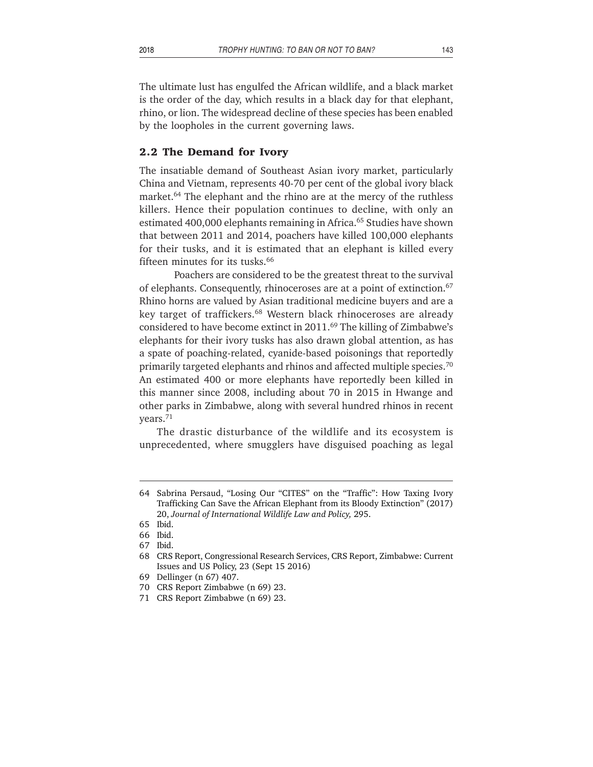The ultimate lust has engulfed the African wildlife, and a black market is the order of the day, which results in a black day for that elephant, rhino, or lion. The widespread decline of these species has been enabled by the loopholes in the current governing laws.

#### **2.2 The Demand for Ivory**

The insatiable demand of Southeast Asian ivory market, particularly China and Vietnam, represents 40-70 per cent of the global ivory black market.<sup>64</sup> The elephant and the rhino are at the mercy of the ruthless killers. Hence their population continues to decline, with only an estimated 400,000 elephants remaining in Africa.<sup>65</sup> Studies have shown that between 2011 and 2014, poachers have killed 100,000 elephants for their tusks, and it is estimated that an elephant is killed every fifteen minutes for its tusks.<sup>66</sup>

Poachers are considered to be the greatest threat to the survival of elephants. Consequently, rhinoceroses are at a point of extinction.<sup>67</sup> Rhino horns are valued by Asian traditional medicine buyers and are a key target of traffickers.<sup>68</sup> Western black rhinoceroses are already considered to have become extinct in  $2011<sup>69</sup>$  The killing of Zimbabwe's elephants for their ivory tusks has also drawn global attention, as has a spate of poaching-related, cyanide-based poisonings that reportedly primarily targeted elephants and rhinos and affected multiple species.<sup>70</sup> An estimated 400 or more elephants have reportedly been killed in this manner since 2008, including about 70 in 2015 in Hwange and other parks in Zimbabwe, along with several hundred rhinos in recent years.71

The drastic disturbance of the wildlife and its ecosystem is unprecedented, where smugglers have disguised poaching as legal

<sup>64</sup> Sabrina Persaud, "Losing Our "CITES" on the "Traffic": How Taxing Ivory Trafficking Can Save the African Elephant from its Bloody Extinction" (2017) 20, *Journal of International Wildlife Law and Policy,* 295.

<sup>65</sup> Ibid.

<sup>66</sup> Ibid.

<sup>67</sup> Ibid.

<sup>68</sup> CRS Report, Congressional Research Services, CRS Report, Zimbabwe: Current Issues and US Policy, 23 (Sept 15 2016)

<sup>69</sup> Dellinger (n 67) 407.

<sup>70</sup> CRS Report Zimbabwe (n 69) 23.

<sup>71</sup> CRS Report Zimbabwe (n 69) 23.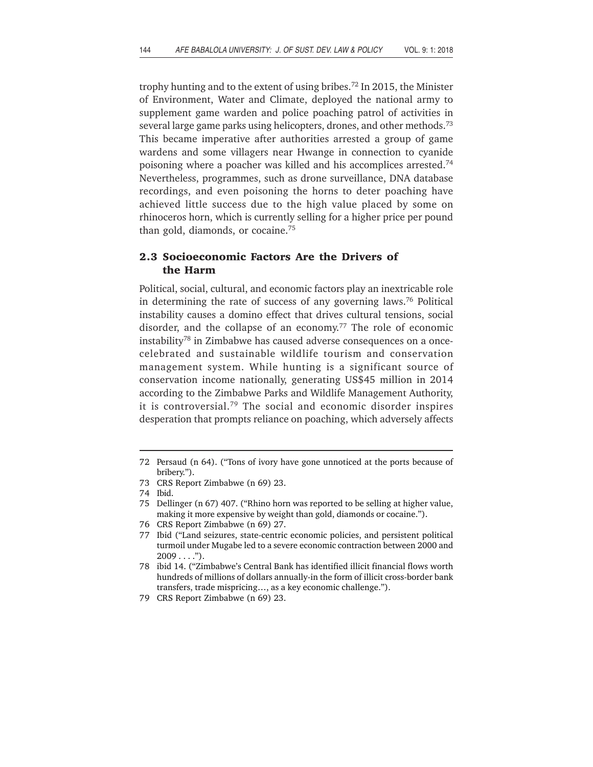trophy hunting and to the extent of using bribes.72 In 2015, the Minister of Environment, Water and Climate, deployed the national army to supplement game warden and police poaching patrol of activities in several large game parks using helicopters, drones, and other methods.<sup>73</sup> This became imperative after authorities arrested a group of game wardens and some villagers near Hwange in connection to cyanide poisoning where a poacher was killed and his accomplices arrested.74 Nevertheless, programmes, such as drone surveillance, DNA database recordings, and even poisoning the horns to deter poaching have achieved little success due to the high value placed by some on rhinoceros horn, which is currently selling for a higher price per pound than gold, diamonds, or cocaine.75

# **2.3 Socioeconomic Factors Are the Drivers of the Harm**

Political, social, cultural, and economic factors play an inextricable role in determining the rate of success of any governing laws.76 Political instability causes a domino effect that drives cultural tensions, social disorder, and the collapse of an economy.<sup>77</sup> The role of economic instability78 in Zimbabwe has caused adverse consequences on a oncecelebrated and sustainable wildlife tourism and conservation management system. While hunting is a significant source of conservation income nationally, generating US\$45 million in 2014 according to the Zimbabwe Parks and Wildlife Management Authority, it is controversial.79 The social and economic disorder inspires desperation that prompts reliance on poaching, which adversely affects

<sup>72</sup> Persaud (n 64). ("Tons of ivory have gone unnoticed at the ports because of bribery.").

<sup>73</sup> CRS Report Zimbabwe (n 69) 23.

<sup>74</sup> Ibid.

<sup>75</sup> Dellinger (n 67) 407. ("Rhino horn was reported to be selling at higher value, making it more expensive by weight than gold, diamonds or cocaine.").

<sup>76</sup> CRS Report Zimbabwe (n 69) 27.

<sup>77</sup> Ibid ("Land seizures, state-centric economic policies, and persistent political turmoil under Mugabe led to a severe economic contraction between 2000 and  $2009...$ ").

<sup>78</sup> ibid 14. ("Zimbabwe's Central Bank has identified illicit financial flows worth hundreds of millions of dollars annually-in the form of illicit cross-border bank transfers, trade mispricing…, as a key economic challenge.").

<sup>79</sup> CRS Report Zimbabwe (n 69) 23.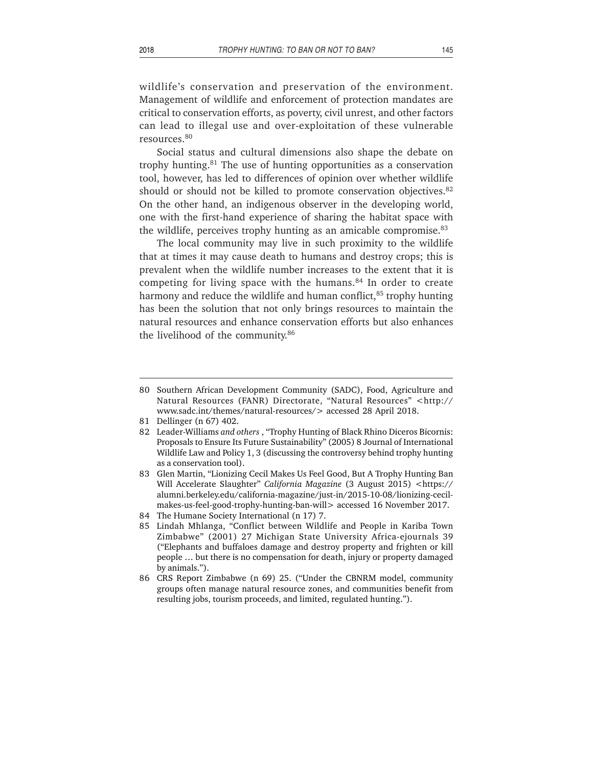wildlife's conservation and preservation of the environment. Management of wildlife and enforcement of protection mandates are critical to conservation efforts, as poverty, civil unrest, and other factors can lead to illegal use and over-exploitation of these vulnerable resources.80

Social status and cultural dimensions also shape the debate on trophy hunting.81 The use of hunting opportunities as a conservation tool, however, has led to differences of opinion over whether wildlife should or should not be killed to promote conservation objectives.<sup>82</sup> On the other hand, an indigenous observer in the developing world, one with the first-hand experience of sharing the habitat space with the wildlife, perceives trophy hunting as an amicable compromise.<sup>83</sup>

The local community may live in such proximity to the wildlife that at times it may cause death to humans and destroy crops; this is prevalent when the wildlife number increases to the extent that it is competing for living space with the humans.<sup>84</sup> In order to create harmony and reduce the wildlife and human conflict, $85$  trophy hunting has been the solution that not only brings resources to maintain the natural resources and enhance conservation efforts but also enhances the livelihood of the community.86

83 Glen Martin, "Lionizing Cecil Makes Us Feel Good, But A Trophy Hunting Ban Will Accelerate Slaughter" *California Magazine* (3 August 2015) <https:// alumni.berkeley.edu/california-magazine/just-in/2015-10-08/lionizing-cecilmakes-us-feel-good-trophy-hunting-ban-will> accessed 16 November 2017.

- 85 Lindah Mhlanga, "Conflict between Wildlife and People in Kariba Town Zimbabwe" (2001) 27 Michigan State University Africa-ejournals 39 ("Elephants and buffaloes damage and destroy property and frighten or kill people … but there is no compensation for death, injury or property damaged by animals.").
- 86 CRS Report Zimbabwe (n 69) 25. ("Under the CBNRM model, community groups often manage natural resource zones, and communities benefit from resulting jobs, tourism proceeds, and limited, regulated hunting.").

<sup>80</sup> Southern African Development Community (SADC), Food, Agriculture and Natural Resources (FANR) Directorate, "Natural Resources" <http:// www.sadc.int/themes/natural-resources/> accessed 28 April 2018.

<sup>81</sup> Dellinger (n 67) 402.

<sup>82</sup> Leader-Williams *and others* , "Trophy Hunting of Black Rhino Diceros Bicornis: Proposals to Ensure Its Future Sustainability" (2005) 8 Journal of International Wildlife Law and Policy 1, 3 (discussing the controversy behind trophy hunting as a conservation tool).

<sup>84</sup> The Humane Society International (n 17) 7.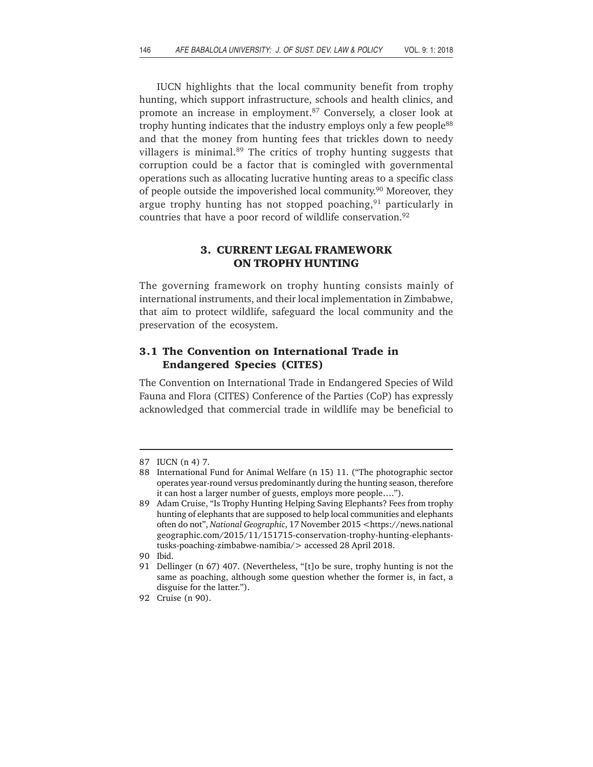IUCN highlights that the local community benefit from trophy hunting, which support infrastructure, schools and health clinics, and promote an increase in employment.<sup>87</sup> Conversely, a closer look at trophy hunting indicates that the industry employs only a few people<sup>88</sup> and that the money from hunting fees that trickles down to needy villagers is minimal.89 The critics of trophy hunting suggests that corruption could be a factor that is comingled with governmental operations such as allocating lucrative hunting areas to a specific class of people outside the impoverished local community.<sup>90</sup> Moreover, they argue trophy hunting has not stopped poaching,  $91$  particularly in countries that have a poor record of wildlife conservation.<sup>92</sup>

## **3. CURRENT LEGAL FRAMEWORK ON TROPHY HUNTING**

The governing framework on trophy hunting consists mainly of international instruments, and their local implementation in Zimbabwe, that aim to protect wildlife, safeguard the local community and the preservation of the ecosystem.

## **3.1 The Convention on International Trade in Endangered Species (CITES)**

The Convention on International Trade in Endangered Species of Wild Fauna and Flora (CITES) Conference of the Parties (CoP) has expressly acknowledged that commercial trade in wildlife may be beneficial to

<sup>87</sup> IUCN (n 4) 7.

<sup>88</sup> International Fund for Animal Welfare (n 15) 11. ("The photographic sector operates year-round versus predominantly during the hunting season, therefore it can host a larger number of guests, employs more people….").

<sup>89</sup> Adam Cruise, "Is Trophy Hunting Helping Saving Elephants? Fees from trophy hunting of elephants that are supposed to help local communities and elephants often do not", *National Geographic*, 17 November 2015 <https://news.national geographic.com/2015/11/151715-conservation-trophy-hunting-elephantstusks-poaching-zimbabwe-namibia/> accessed 28 April 2018.

<sup>90</sup> Ibid.

<sup>91</sup> Dellinger (n 67) 407. (Nevertheless, "[t]o be sure, trophy hunting is not the same as poaching, although some question whether the former is, in fact, a disguise for the latter.").

<sup>92</sup> Cruise (n 90).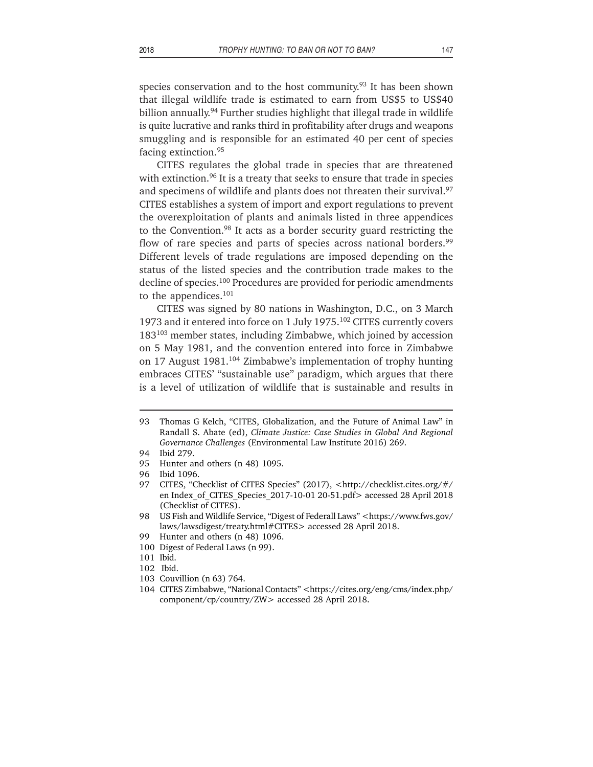species conservation and to the host community.<sup>93</sup> It has been shown that illegal wildlife trade is estimated to earn from US\$5 to US\$40 billion annually.<sup>94</sup> Further studies highlight that illegal trade in wildlife is quite lucrative and ranks third in profitability after drugs and weapons smuggling and is responsible for an estimated 40 per cent of species facing extinction.95

CITES regulates the global trade in species that are threatened with extinction.<sup>96</sup> It is a treaty that seeks to ensure that trade in species and specimens of wildlife and plants does not threaten their survival.<sup>97</sup> CITES establishes a system of import and export regulations to prevent the overexploitation of plants and animals listed in three appendices to the Convention.98 It acts as a border security guard restricting the flow of rare species and parts of species across national borders.<sup>99</sup> Different levels of trade regulations are imposed depending on the status of the listed species and the contribution trade makes to the decline of species.<sup>100</sup> Procedures are provided for periodic amendments to the appendices.101

CITES was signed by 80 nations in Washington, D.C., on 3 March 1973 and it entered into force on 1 July 1975.102 CITES currently covers 183103 member states, including Zimbabwe, which joined by accession on 5 May 1981, and the convention entered into force in Zimbabwe on 17 August 1981.<sup>104</sup> Zimbabwe's implementation of trophy hunting embraces CITES' "sustainable use" paradigm, which argues that there is a level of utilization of wildlife that is sustainable and results in

- 103 Couvillion (n 63) 764.
- 104 CITES Zimbabwe, "National Contacts" <https://cites.org/eng/cms/index.php/ component/cp/country/ZW> accessed 28 April 2018.

<sup>93</sup> Thomas G Kelch, "CITES, Globalization, and the Future of Animal Law" in Randall S. Abate (ed), *Climate Justice: Case Studies in Global And Regional Governance Challenges* (Environmental Law Institute 2016) 269.

<sup>94</sup> Ibid 279.

<sup>95</sup> Hunter and others (n 48) 1095.

<sup>96</sup> Ibid 1096.

<sup>97</sup> CITES, "Checklist of CITES Species" (2017), <http://checklist.cites.org/#/ en Index\_of\_CITES\_Species\_2017-10-01 20-51.pdf> accessed 28 April 2018 (Checklist of CITES).

<sup>98</sup> US Fish and Wildlife Service, "Digest of Federall Laws" <https://www.fws.gov/ laws/lawsdigest/treaty.html#CITES> accessed 28 April 2018.

<sup>99</sup> Hunter and others (n 48) 1096.

<sup>100</sup> Digest of Federal Laws (n 99).

<sup>101</sup> Ibid.

<sup>102</sup> Ibid.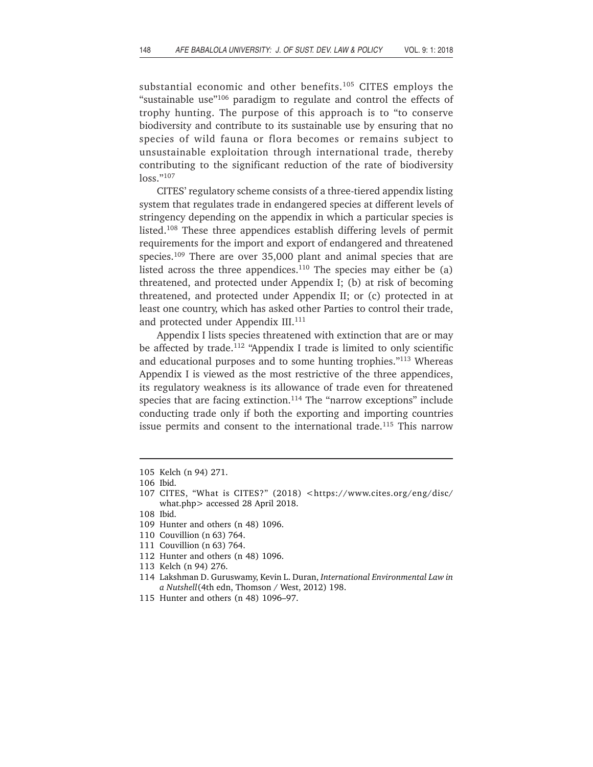substantial economic and other benefits.<sup>105</sup> CITES employs the "sustainable use"<sup>106</sup> paradigm to regulate and control the effects of trophy hunting. The purpose of this approach is to "to conserve biodiversity and contribute to its sustainable use by ensuring that no species of wild fauna or flora becomes or remains subject to unsustainable exploitation through international trade, thereby contributing to the significant reduction of the rate of biodiversity loss."107

CITES' regulatory scheme consists of a three-tiered appendix listing system that regulates trade in endangered species at different levels of stringency depending on the appendix in which a particular species is listed.108 These three appendices establish differing levels of permit requirements for the import and export of endangered and threatened species.109 There are over 35,000 plant and animal species that are listed across the three appendices.<sup>110</sup> The species may either be  $(a)$ threatened, and protected under Appendix I; (b) at risk of becoming threatened, and protected under Appendix II; or (c) protected in at least one country, which has asked other Parties to control their trade, and protected under Appendix III.<sup>111</sup>

Appendix I lists species threatened with extinction that are or may be affected by trade.<sup>112</sup> "Appendix I trade is limited to only scientific and educational purposes and to some hunting trophies."113 Whereas Appendix I is viewed as the most restrictive of the three appendices, its regulatory weakness is its allowance of trade even for threatened species that are facing extinction.<sup>114</sup> The "narrow exceptions" include conducting trade only if both the exporting and importing countries issue permits and consent to the international trade.<sup>115</sup> This narrow

- 108 Ibid.
- 109 Hunter and others (n 48) 1096.
- 110 Couvillion (n 63) 764.
- 111 Couvillion (n 63) 764.
- 112 Hunter and others (n 48) 1096.
- 113 Kelch (n 94) 276.
- 114 Lakshman D. Guruswamy, Kevin L. Duran, *International Environmental Law in a Nutshell*(4th edn, Thomson / West, 2012) 198.
- 115 Hunter and others (n 48) 1096–97.

<sup>105</sup> Kelch (n 94) 271.

<sup>106</sup> Ibid.

<sup>107</sup> CITES, "What is CITES?" (2018) <https://www.cites.org/eng/disc/ what.php> accessed 28 April 2018.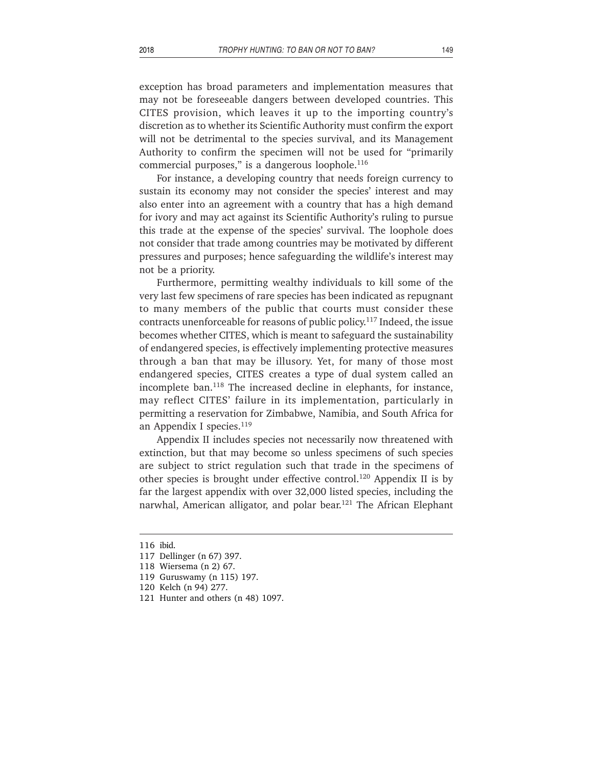exception has broad parameters and implementation measures that

may not be foreseeable dangers between developed countries. This CITES provision, which leaves it up to the importing country's discretion as to whether its Scientific Authority must confirm the export will not be detrimental to the species survival, and its Management Authority to confirm the specimen will not be used for "primarily commercial purposes," is a dangerous loophole.<sup>116</sup>

For instance, a developing country that needs foreign currency to sustain its economy may not consider the species' interest and may also enter into an agreement with a country that has a high demand for ivory and may act against its Scientific Authority's ruling to pursue this trade at the expense of the species' survival. The loophole does not consider that trade among countries may be motivated by different pressures and purposes; hence safeguarding the wildlife's interest may not be a priority.

Furthermore, permitting wealthy individuals to kill some of the very last few specimens of rare species has been indicated as repugnant to many members of the public that courts must consider these contracts unenforceable for reasons of public policy.117 Indeed, the issue becomes whether CITES, which is meant to safeguard the sustainability of endangered species, is effectively implementing protective measures through a ban that may be illusory. Yet, for many of those most endangered species, CITES creates a type of dual system called an incomplete ban.<sup>118</sup> The increased decline in elephants, for instance, may reflect CITES' failure in its implementation, particularly in permitting a reservation for Zimbabwe, Namibia, and South Africa for an Appendix I species.<sup>119</sup>

Appendix II includes species not necessarily now threatened with extinction, but that may become so unless specimens of such species are subject to strict regulation such that trade in the specimens of other species is brought under effective control.120 Appendix II is by far the largest appendix with over 32,000 listed species, including the narwhal, American alligator, and polar bear.<sup>121</sup> The African Elephant

<sup>116</sup> ibid.

<sup>117</sup> Dellinger (n 67) 397.

<sup>118</sup> Wiersema (n 2) 67.

<sup>119</sup> Guruswamy (n 115) 197.

<sup>120</sup> Kelch (n 94) 277.

<sup>121</sup> Hunter and others (n 48) 1097.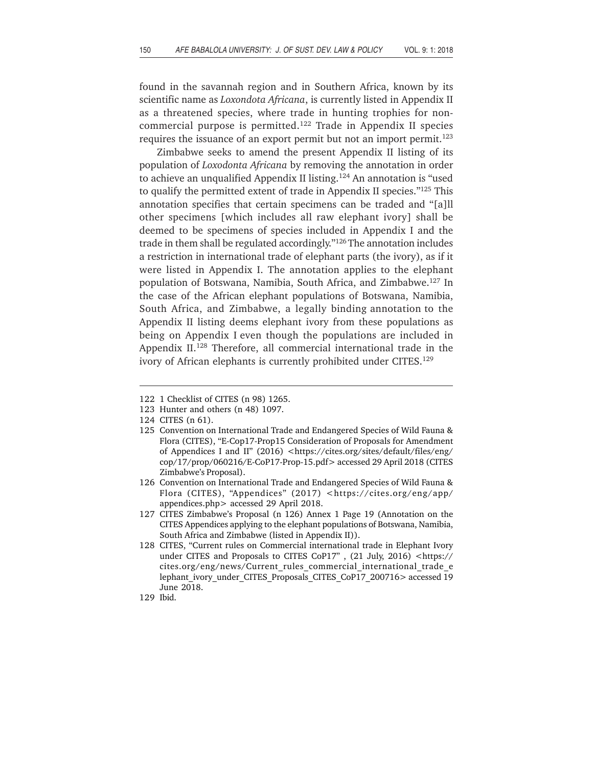found in the savannah region and in Southern Africa, known by its scientific name as *Loxondota Africana*, is currently listed in Appendix II as a threatened species, where trade in hunting trophies for noncommercial purpose is permitted.122 Trade in Appendix II species requires the issuance of an export permit but not an import permit.<sup>123</sup>

Zimbabwe seeks to amend the present Appendix II listing of its population of *Loxodonta Africana* by removing the annotation in order to achieve an unqualified Appendix II listing.<sup>124</sup> An annotation is "used to qualify the permitted extent of trade in Appendix II species."125 This annotation specifies that certain specimens can be traded and "[a]ll other specimens [which includes all raw elephant ivory] shall be deemed to be specimens of species included in Appendix I and the trade in them shall be regulated accordingly."126 The annotation includes a restriction in international trade of elephant parts (the ivory), as if it were listed in Appendix I. The annotation applies to the elephant population of Botswana, Namibia, South Africa, and Zimbabwe.127 In the case of the African elephant populations of Botswana, Namibia, South Africa, and Zimbabwe, a legally binding annotation to the Appendix II listing deems elephant ivory from these populations as being on Appendix I even though the populations are included in Appendix II.<sup>128</sup> Therefore, all commercial international trade in the ivory of African elephants is currently prohibited under CITES.<sup>129</sup>

<sup>122 1</sup> Checklist of CITES (n 98) 1265.

<sup>123</sup> Hunter and others (n 48) 1097.

<sup>124</sup> CITES (n 61).

<sup>125</sup> Convention on International Trade and Endangered Species of Wild Fauna & Flora (CITES), "E-Cop17-Prop15 Consideration of Proposals for Amendment of Appendices I and II" (2016) <https://cites.org/sites/default/files/eng/ cop/17/prop/060216/E-CoP17-Prop-15.pdf> accessed 29 April 2018 (CITES Zimbabwe's Proposal).

<sup>126</sup> Convention on International Trade and Endangered Species of Wild Fauna & Flora (CITES), "Appendices" (2017) <https://cites.org/eng/app/ appendices.php> accessed 29 April 2018.

<sup>127</sup> CITES Zimbabwe's Proposal (n 126) Annex 1 Page 19 (Annotation on the CITES Appendices applying to the elephant populations of Botswana, Namibia, South Africa and Zimbabwe (listed in Appendix II)).

<sup>128</sup> CITES, "Current rules on Commercial international trade in Elephant Ivory under CITES and Proposals to CITES CoP17", (21 July, 2016) <https:// cites.org/eng/news/Current\_rules\_commercial\_international\_trade\_e lephant\_ivory\_under\_CITES\_Proposals\_CITES\_CoP17\_200716> accessed 19 June 2018.

<sup>129</sup> Ibid.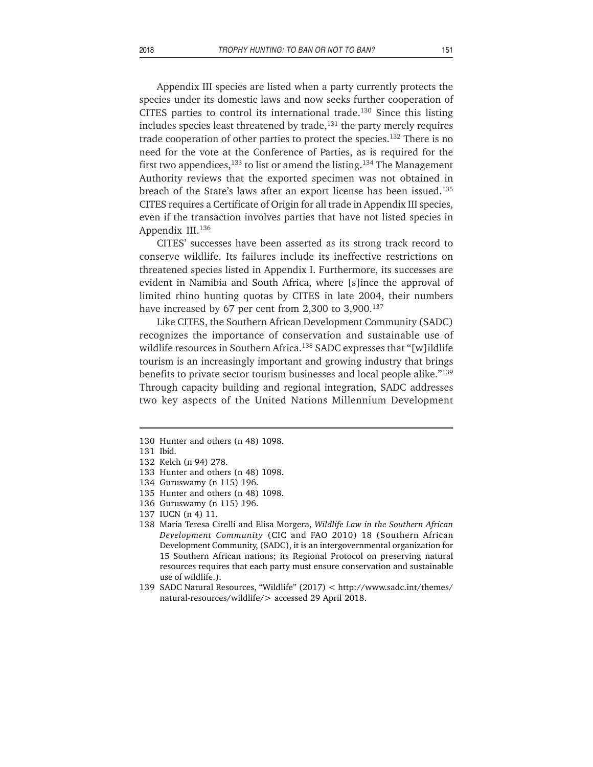Appendix III species are listed when a party currently protects the species under its domestic laws and now seeks further cooperation of CITES parties to control its international trade.<sup>130</sup> Since this listing includes species least threatened by trade, $131$  the party merely requires trade cooperation of other parties to protect the species.<sup>132</sup> There is no need for the vote at the Conference of Parties, as is required for the first two appendices,  $133$  to list or amend the listing.  $134$  The Management Authority reviews that the exported specimen was not obtained in breach of the State's laws after an export license has been issued.135 CITES requires a Certificate of Origin for all trade in Appendix III species, even if the transaction involves parties that have not listed species in Appendix III.<sup>136</sup>

CITES' successes have been asserted as its strong track record to conserve wildlife. Its failures include its ineffective restrictions on threatened species listed in Appendix I. Furthermore, its successes are evident in Namibia and South Africa, where [s]ince the approval of limited rhino hunting quotas by CITES in late 2004, their numbers have increased by 67 per cent from 2,300 to 3,900.<sup>137</sup>

Like CITES, the Southern African Development Community (SADC) recognizes the importance of conservation and sustainable use of wildlife resources in Southern Africa.<sup>138</sup> SADC expresses that "[w]ildlife tourism is an increasingly important and growing industry that brings benefits to private sector tourism businesses and local people alike."139 Through capacity building and regional integration, SADC addresses two key aspects of the United Nations Millennium Development

<sup>130</sup> Hunter and others (n 48) 1098.

<sup>131</sup> Ibid.

<sup>132</sup> Kelch (n 94) 278.

<sup>133</sup> Hunter and others (n 48) 1098.

<sup>134</sup> Guruswamy (n 115) 196.

<sup>135</sup> Hunter and others (n 48) 1098.

<sup>136</sup> Guruswamy (n 115) 196.

<sup>137</sup> IUCN (n 4) 11.

<sup>138</sup> Maria Teresa Cirelli and Elisa Morgera, *Wildlife Law in the Southern African Development Community* (CIC and FAO 2010) 18 (Southern African Development Community, (SADC), it is an intergovernmental organization for 15 Southern African nations; its Regional Protocol on preserving natural resources requires that each party must ensure conservation and sustainable use of wildlife.).

<sup>139</sup> SADC Natural Resources, "Wildlife" (2017) < http://www.sadc.int/themes/ natural-resources/wildlife/> accessed 29 April 2018.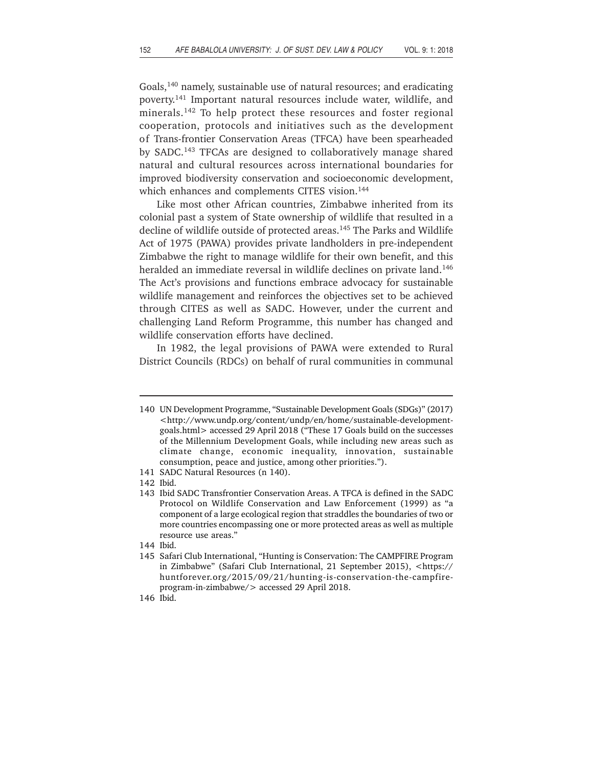Goals,140 namely, sustainable use of natural resources; and eradicating poverty.141 Important natural resources include water, wildlife, and minerals.142 To help protect these resources and foster regional cooperation, protocols and initiatives such as the development of Trans-frontier Conservation Areas (TFCA) have been spearheaded by SADC.143 TFCAs are designed to collaboratively manage shared natural and cultural resources across international boundaries for improved biodiversity conservation and socioeconomic development, which enhances and complements CITES vision.<sup>144</sup>

Like most other African countries, Zimbabwe inherited from its colonial past a system of State ownership of wildlife that resulted in a decline of wildlife outside of protected areas.<sup>145</sup> The Parks and Wildlife Act of 1975 (PAWA) provides private landholders in pre-independent Zimbabwe the right to manage wildlife for their own benefit, and this heralded an immediate reversal in wildlife declines on private land.<sup>146</sup> The Act's provisions and functions embrace advocacy for sustainable wildlife management and reinforces the objectives set to be achieved through CITES as well as SADC. However, under the current and challenging Land Reform Programme, this number has changed and wildlife conservation efforts have declined.

In 1982, the legal provisions of PAWA were extended to Rural District Councils (RDCs) on behalf of rural communities in communal

144 Ibid.

<sup>140</sup> UN Development Programme, "Sustainable Development Goals (SDGs)" (2017) <http://www.undp.org/content/undp/en/home/sustainable-developmentgoals.html> accessed 29 April 2018 ("These 17 Goals build on the successes of the Millennium Development Goals, while including new areas such as climate change, economic inequality, innovation, sustainable consumption, peace and justice, among other priorities.").

<sup>141</sup> SADC Natural Resources (n 140).

<sup>142</sup> Ibid.

<sup>143</sup> Ibid SADC Transfrontier Conservation Areas. A TFCA is defined in the SADC Protocol on Wildlife Conservation and Law Enforcement (1999) as "a component of a large ecological region that straddles the boundaries of two or more countries encompassing one or more protected areas as well as multiple resource use areas."

<sup>145</sup> Safari Club International, "Hunting is Conservation: The CAMPFIRE Program in Zimbabwe" (Safari Club International, 21 September 2015), <https:// huntforever.org/2015/09/21/hunting-is-conservation-the-campfireprogram-in-zimbabwe/> accessed 29 April 2018.

<sup>146</sup> Ibid.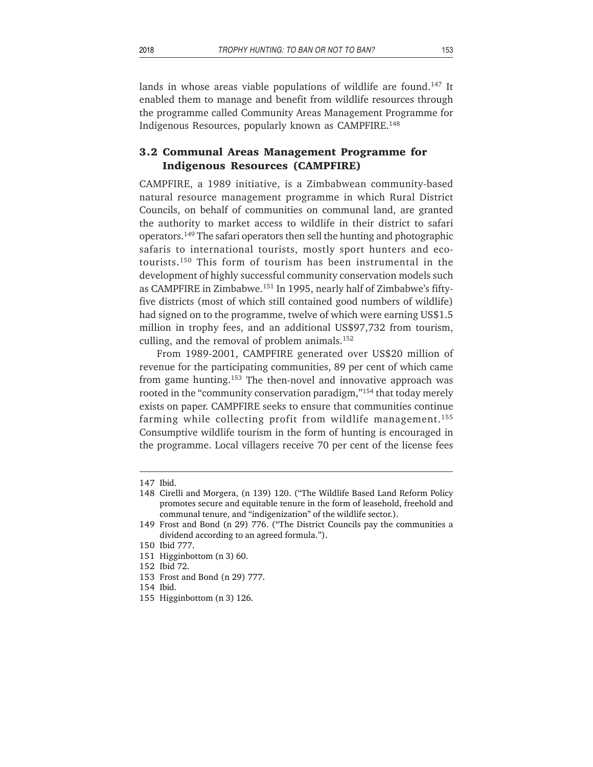lands in whose areas viable populations of wildlife are found.<sup>147</sup> It enabled them to manage and benefit from wildlife resources through the programme called Community Areas Management Programme for Indigenous Resources, popularly known as CAMPFIRE.148

# **3.2 Communal Areas Management Programme for Indigenous Resources (CAMPFIRE)**

CAMPFIRE, a 1989 initiative, is a Zimbabwean community-based natural resource management programme in which Rural District Councils, on behalf of communities on communal land, are granted the authority to market access to wildlife in their district to safari operators.149 The safari operators then sell the hunting and photographic safaris to international tourists, mostly sport hunters and ecotourists.150 This form of tourism has been instrumental in the development of highly successful community conservation models such as CAMPFIRE in Zimbabwe.151 In 1995, nearly half of Zimbabwe's fiftyfive districts (most of which still contained good numbers of wildlife) had signed on to the programme, twelve of which were earning US\$1.5 million in trophy fees, and an additional US\$97,732 from tourism, culling, and the removal of problem animals.<sup>152</sup>

From 1989-2001, CAMPFIRE generated over US\$20 million of revenue for the participating communities, 89 per cent of which came from game hunting.153 The then-novel and innovative approach was rooted in the "community conservation paradigm,"<sup>154</sup> that today merely exists on paper. CAMPFIRE seeks to ensure that communities continue farming while collecting profit from wildlife management.<sup>155</sup> Consumptive wildlife tourism in the form of hunting is encouraged in the programme. Local villagers receive 70 per cent of the license fees

154 Ibid.

<sup>147</sup> Ibid.

<sup>148</sup> Cirelli and Morgera, (n 139) 120. ("The Wildlife Based Land Reform Policy promotes secure and equitable tenure in the form of leasehold, freehold and communal tenure, and "indigenization" of the wildlife sector.).

<sup>149</sup> Frost and Bond (n 29) 776. ("The District Councils pay the communities a dividend according to an agreed formula.").

<sup>150</sup> Ibid 777.

<sup>151</sup> Higginbottom (n 3) 60.

<sup>152</sup> Ibid 72.

<sup>153</sup> Frost and Bond (n 29) 777.

<sup>155</sup> Higginbottom (n 3) 126.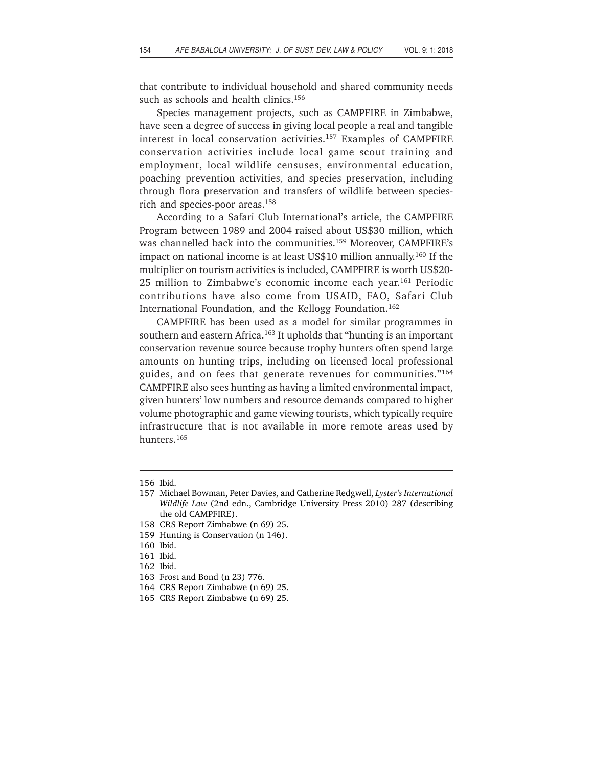that contribute to individual household and shared community needs such as schools and health clinics.<sup>156</sup>

Species management projects, such as CAMPFIRE in Zimbabwe, have seen a degree of success in giving local people a real and tangible interest in local conservation activities.157 Examples of CAMPFIRE conservation activities include local game scout training and employment, local wildlife censuses, environmental education, poaching prevention activities, and species preservation, including through flora preservation and transfers of wildlife between speciesrich and species-poor areas.158

According to a Safari Club International's article, the CAMPFIRE Program between 1989 and 2004 raised about US\$30 million, which was channelled back into the communities.159 Moreover, CAMPFIRE's impact on national income is at least US\$10 million annually.160 If the multiplier on tourism activities is included, CAMPFIRE is worth US\$20- 25 million to Zimbabwe's economic income each year.<sup>161</sup> Periodic contributions have also come from USAID, FAO, Safari Club International Foundation, and the Kellogg Foundation.162

CAMPFIRE has been used as a model for similar programmes in southern and eastern Africa.<sup>163</sup> It upholds that "hunting is an important conservation revenue source because trophy hunters often spend large amounts on hunting trips, including on licensed local professional guides, and on fees that generate revenues for communities."164 CAMPFIRE also sees hunting as having a limited environmental impact, given hunters' low numbers and resource demands compared to higher volume photographic and game viewing tourists, which typically require infrastructure that is not available in more remote areas used by hunters.165

<sup>156</sup> Ibid.

<sup>157</sup> Michael Bowman, Peter Davies, and Catherine Redgwell, *Lyster's International Wildlife Law* (2nd edn., Cambridge University Press 2010) 287 (describing the old CAMPFIRE).

<sup>158</sup> CRS Report Zimbabwe (n 69) 25.

<sup>159</sup> Hunting is Conservation (n 146).

<sup>160</sup> Ibid.

<sup>161</sup> Ibid.

<sup>162</sup> Ibid.

<sup>163</sup> Frost and Bond (n 23) 776.

<sup>164</sup> CRS Report Zimbabwe (n 69) 25.

<sup>165</sup> CRS Report Zimbabwe (n 69) 25.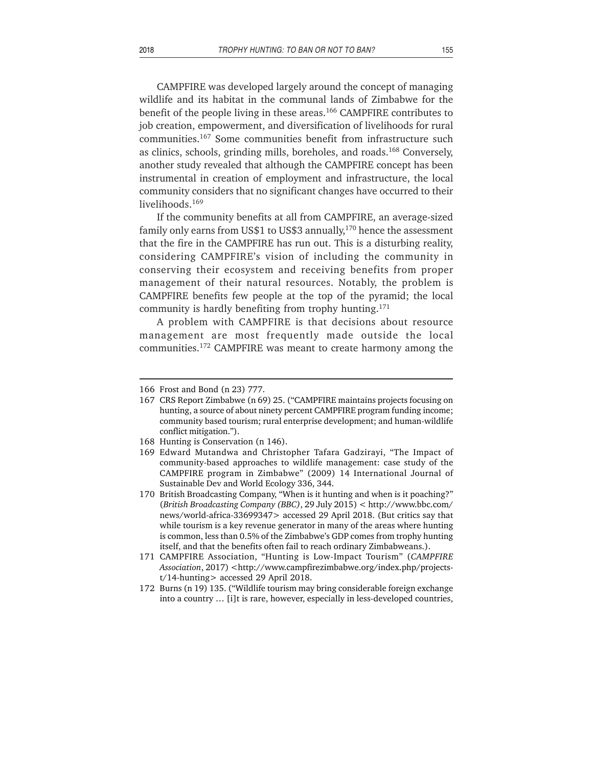CAMPFIRE was developed largely around the concept of managing wildlife and its habitat in the communal lands of Zimbabwe for the benefit of the people living in these areas.<sup>166</sup> CAMPFIRE contributes to job creation, empowerment, and diversification of livelihoods for rural communities.167 Some communities benefit from infrastructure such as clinics, schools, grinding mills, boreholes, and roads.168 Conversely, another study revealed that although the CAMPFIRE concept has been instrumental in creation of employment and infrastructure, the local community considers that no significant changes have occurred to their livelihoods.<sup>169</sup>

If the community benefits at all from CAMPFIRE, an average-sized family only earns from US\$1 to US\$3 annually,<sup>170</sup> hence the assessment that the fire in the CAMPFIRE has run out. This is a disturbing reality, considering CAMPFIRE's vision of including the community in conserving their ecosystem and receiving benefits from proper management of their natural resources. Notably, the problem is CAMPFIRE benefits few people at the top of the pyramid; the local community is hardly benefiting from trophy hunting.<sup>171</sup>

A problem with CAMPFIRE is that decisions about resource management are most frequently made outside the local communities.172 CAMPFIRE was meant to create harmony among the

172 Burns (n 19) 135. ("Wildlife tourism may bring considerable foreign exchange into a country … [i]t is rare, however, especially in less-developed countries,

<sup>166</sup> Frost and Bond (n 23) 777.

<sup>167</sup> CRS Report Zimbabwe (n 69) 25. ("CAMPFIRE maintains projects focusing on hunting, a source of about ninety percent CAMPFIRE program funding income; community based tourism; rural enterprise development; and human-wildlife conflict mitigation.").

<sup>168</sup> Hunting is Conservation (n 146).

<sup>169</sup> Edward Mutandwa and Christopher Tafara Gadzirayi, "The Impact of community-based approaches to wildlife management: case study of the CAMPFIRE program in Zimbabwe" (2009) 14 International Journal of Sustainable Dev and World Ecology 336, 344.

<sup>170</sup> British Broadcasting Company, "When is it hunting and when is it poaching?" (*British Broadcasting Company (BBC)*, 29 July 2015) < http://www.bbc.com/ news/world-africa-33699347> accessed 29 April 2018. (But critics say that while tourism is a key revenue generator in many of the areas where hunting is common, less than 0.5% of the Zimbabwe's GDP comes from trophy hunting itself, and that the benefits often fail to reach ordinary Zimbabweans.).

<sup>171</sup> CAMPFIRE Association, "Hunting is Low-Impact Tourism" (*CAMPFIRE Association*, 2017) <http://www.campfirezimbabwe.org/index.php/projectst/14-hunting> accessed 29 April 2018.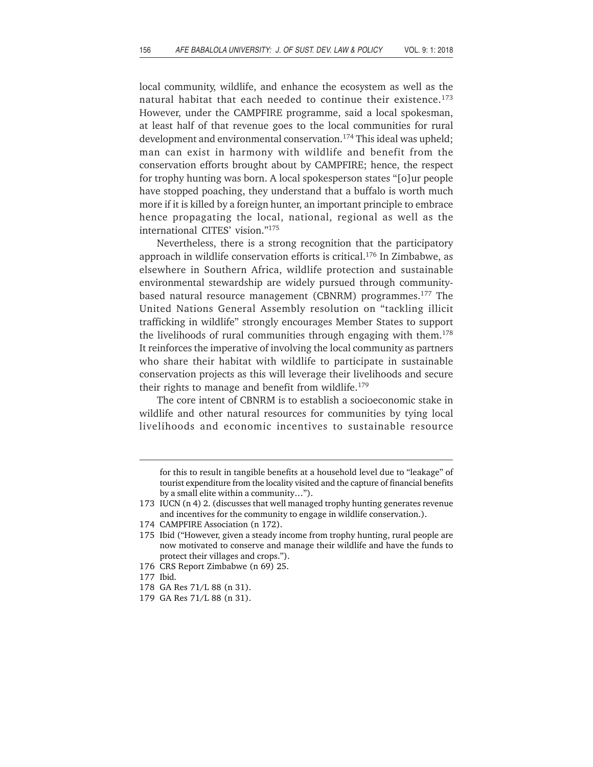local community, wildlife, and enhance the ecosystem as well as the natural habitat that each needed to continue their existence.173 However, under the CAMPFIRE programme, said a local spokesman, at least half of that revenue goes to the local communities for rural development and environmental conservation.<sup>174</sup> This ideal was upheld; man can exist in harmony with wildlife and benefit from the conservation efforts brought about by CAMPFIRE; hence, the respect for trophy hunting was born. A local spokesperson states "[o]ur people have stopped poaching, they understand that a buffalo is worth much more if it is killed by a foreign hunter, an important principle to embrace hence propagating the local, national, regional as well as the international CITES' vision."175

Nevertheless, there is a strong recognition that the participatory approach in wildlife conservation efforts is critical.176 In Zimbabwe, as elsewhere in Southern Africa, wildlife protection and sustainable environmental stewardship are widely pursued through communitybased natural resource management (CBNRM) programmes.<sup>177</sup> The United Nations General Assembly resolution on "tackling illicit trafficking in wildlife" strongly encourages Member States to support the livelihoods of rural communities through engaging with them.<sup>178</sup> It reinforces the imperative of involving the local community as partners who share their habitat with wildlife to participate in sustainable conservation projects as this will leverage their livelihoods and secure their rights to manage and benefit from wildlife.<sup>179</sup>

The core intent of CBNRM is to establish a socioeconomic stake in wildlife and other natural resources for communities by tying local livelihoods and economic incentives to sustainable resource

174 CAMPFIRE Association (n 172).

- 176 CRS Report Zimbabwe (n 69) 25.
- 177 Ibid.
- 178 GA Res 71/L 88 (n 31).
- 179 GA Res 71/L 88 (n 31).

for this to result in tangible benefits at a household level due to "leakage" of tourist expenditure from the locality visited and the capture of financial benefits by a small elite within a community…").

<sup>173</sup> IUCN (n 4) 2. (discusses that well managed trophy hunting generates revenue and incentives for the community to engage in wildlife conservation.).

<sup>175</sup> Ibid ("However, given a steady income from trophy hunting, rural people are now motivated to conserve and manage their wildlife and have the funds to protect their villages and crops.").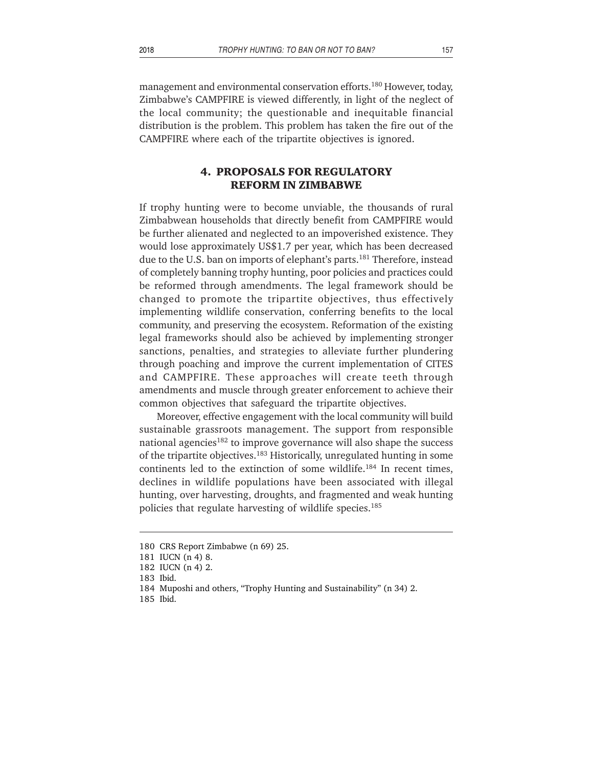management and environmental conservation efforts.<sup>180</sup> However, today, Zimbabwe's CAMPFIRE is viewed differently, in light of the neglect of the local community; the questionable and inequitable financial distribution is the problem. This problem has taken the fire out of the CAMPFIRE where each of the tripartite objectives is ignored.

# **4. PROPOSALS FOR REGULATORY REFORM IN ZIMBABWE**

If trophy hunting were to become unviable, the thousands of rural Zimbabwean households that directly benefit from CAMPFIRE would be further alienated and neglected to an impoverished existence. They would lose approximately US\$1.7 per year, which has been decreased due to the U.S. ban on imports of elephant's parts.<sup>181</sup> Therefore, instead of completely banning trophy hunting, poor policies and practices could be reformed through amendments. The legal framework should be changed to promote the tripartite objectives, thus effectively implementing wildlife conservation, conferring benefits to the local community, and preserving the ecosystem. Reformation of the existing legal frameworks should also be achieved by implementing stronger sanctions, penalties, and strategies to alleviate further plundering through poaching and improve the current implementation of CITES and CAMPFIRE. These approaches will create teeth through amendments and muscle through greater enforcement to achieve their common objectives that safeguard the tripartite objectives.

Moreover, effective engagement with the local community will build sustainable grassroots management. The support from responsible national agencies<sup>182</sup> to improve governance will also shape the success of the tripartite objectives.183 Historically, unregulated hunting in some continents led to the extinction of some wildlife.<sup>184</sup> In recent times, declines in wildlife populations have been associated with illegal hunting, over harvesting, droughts, and fragmented and weak hunting policies that regulate harvesting of wildlife species.<sup>185</sup>

<sup>180</sup> CRS Report Zimbabwe (n 69) 25.

<sup>181</sup> IUCN (n 4) 8.

<sup>182</sup> IUCN (n 4) 2.

<sup>183</sup> Ibid.

<sup>184</sup> Muposhi and others, "Trophy Hunting and Sustainability" (n 34) 2.

<sup>185</sup> Ibid.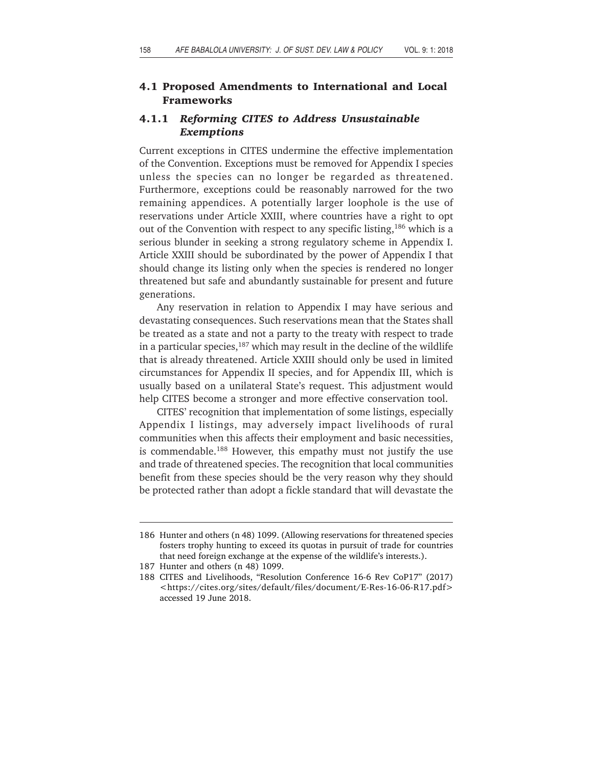#### **4.1 Proposed Amendments to International and Local Frameworks**

## **4.1.1** *Reforming CITES to Address Unsustainable Exemptions*

Current exceptions in CITES undermine the effective implementation of the Convention. Exceptions must be removed for Appendix I species unless the species can no longer be regarded as threatened. Furthermore, exceptions could be reasonably narrowed for the two remaining appendices. A potentially larger loophole is the use of reservations under Article XXIII, where countries have a right to opt out of the Convention with respect to any specific listing,<sup>186</sup> which is a serious blunder in seeking a strong regulatory scheme in Appendix I. Article XXIII should be subordinated by the power of Appendix I that should change its listing only when the species is rendered no longer threatened but safe and abundantly sustainable for present and future generations.

Any reservation in relation to Appendix I may have serious and devastating consequences. Such reservations mean that the States shall be treated as a state and not a party to the treaty with respect to trade in a particular species,  $187$  which may result in the decline of the wildlife that is already threatened. Article XXIII should only be used in limited circumstances for Appendix II species, and for Appendix III, which is usually based on a unilateral State's request. This adjustment would help CITES become a stronger and more effective conservation tool.

CITES' recognition that implementation of some listings, especially Appendix I listings, may adversely impact livelihoods of rural communities when this affects their employment and basic necessities, is commendable.188 However, this empathy must not justify the use and trade of threatened species. The recognition that local communities benefit from these species should be the very reason why they should be protected rather than adopt a fickle standard that will devastate the

<sup>186</sup> Hunter and others (n 48) 1099. (Allowing reservations for threatened species fosters trophy hunting to exceed its quotas in pursuit of trade for countries that need foreign exchange at the expense of the wildlife's interests.).

<sup>187</sup> Hunter and others (n 48) 1099.

<sup>188</sup> CITES and Livelihoods, "Resolution Conference 16-6 Rev CoP17" (2017) <https://cites.org/sites/default/files/document/E-Res-16-06-R17.pdf> accessed 19 June 2018.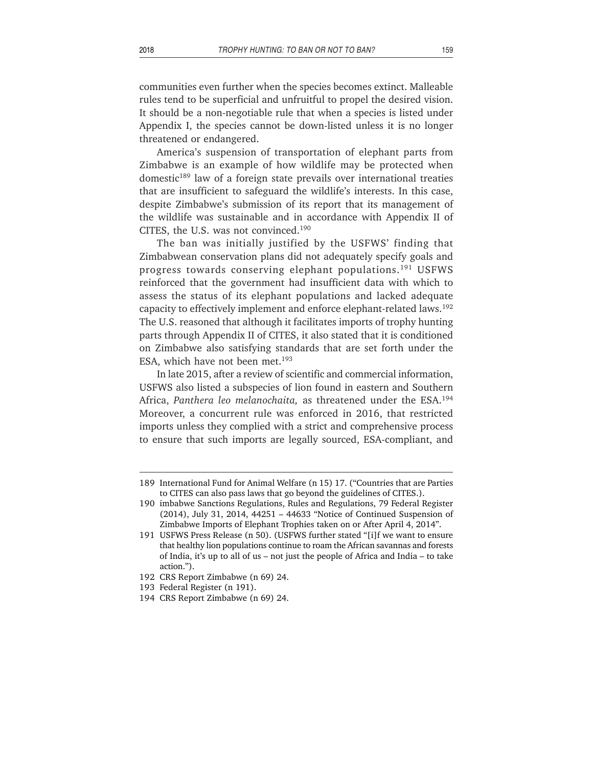communities even further when the species becomes extinct. Malleable rules tend to be superficial and unfruitful to propel the desired vision. It should be a non-negotiable rule that when a species is listed under Appendix I, the species cannot be down-listed unless it is no longer threatened or endangered.

America's suspension of transportation of elephant parts from Zimbabwe is an example of how wildlife may be protected when domestic189 law of a foreign state prevails over international treaties that are insufficient to safeguard the wildlife's interests. In this case, despite Zimbabwe's submission of its report that its management of the wildlife was sustainable and in accordance with Appendix II of CITES, the U.S. was not convinced.190

The ban was initially justified by the USFWS' finding that Zimbabwean conservation plans did not adequately specify goals and progress towards conserving elephant populations.191 USFWS reinforced that the government had insufficient data with which to assess the status of its elephant populations and lacked adequate capacity to effectively implement and enforce elephant-related laws.<sup>192</sup> The U.S. reasoned that although it facilitates imports of trophy hunting parts through Appendix II of CITES, it also stated that it is conditioned on Zimbabwe also satisfying standards that are set forth under the ESA, which have not been met. $193$ 

In late 2015, after a review of scientific and commercial information, USFWS also listed a subspecies of lion found in eastern and Southern Africa, *Panthera leo melanochaita,* as threatened under the ESA.194 Moreover, a concurrent rule was enforced in 2016, that restricted imports unless they complied with a strict and comprehensive process to ensure that such imports are legally sourced, ESA-compliant, and

<sup>189</sup> International Fund for Animal Welfare (n 15) 17. ("Countries that are Parties to CITES can also pass laws that go beyond the guidelines of CITES.).

<sup>190</sup> imbabwe Sanctions Regulations, Rules and Regulations, 79 Federal Register (2014), July 31, 2014, 44251 – 44633 "Notice of Continued Suspension of Zimbabwe Imports of Elephant Trophies taken on or After April 4, 2014".

<sup>191</sup> USFWS Press Release (n 50). (USFWS further stated "[i]f we want to ensure that healthy lion populations continue to roam the African savannas and forests of India, it's up to all of us – not just the people of Africa and India – to take action.").

<sup>192</sup> CRS Report Zimbabwe (n 69) 24.

<sup>193</sup> Federal Register (n 191).

<sup>194</sup> CRS Report Zimbabwe (n 69) 24.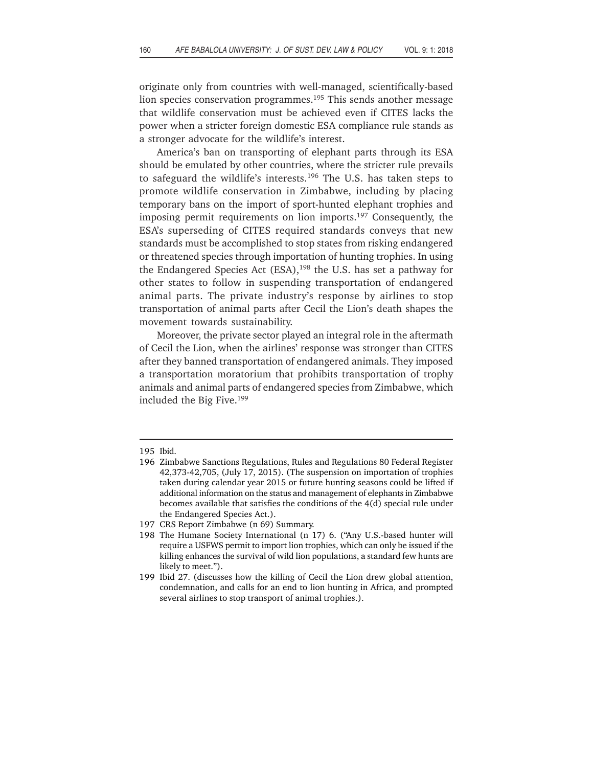originate only from countries with well-managed, scientifically-based lion species conservation programmes.<sup>195</sup> This sends another message that wildlife conservation must be achieved even if CITES lacks the power when a stricter foreign domestic ESA compliance rule stands as a stronger advocate for the wildlife's interest.

America's ban on transporting of elephant parts through its ESA should be emulated by other countries, where the stricter rule prevails to safeguard the wildlife's interests.196 The U.S. has taken steps to promote wildlife conservation in Zimbabwe, including by placing temporary bans on the import of sport-hunted elephant trophies and imposing permit requirements on lion imports.<sup>197</sup> Consequently, the ESA's superseding of CITES required standards conveys that new standards must be accomplished to stop states from risking endangered or threatened species through importation of hunting trophies. In using the Endangered Species Act (ESA), $198$  the U.S. has set a pathway for other states to follow in suspending transportation of endangered animal parts. The private industry's response by airlines to stop transportation of animal parts after Cecil the Lion's death shapes the movement towards sustainability.

Moreover, the private sector played an integral role in the aftermath of Cecil the Lion, when the airlines' response was stronger than CITES after they banned transportation of endangered animals. They imposed a transportation moratorium that prohibits transportation of trophy animals and animal parts of endangered species from Zimbabwe, which included the Big Five.199

<sup>195</sup> Ibid.

<sup>196</sup> Zimbabwe Sanctions Regulations, Rules and Regulations 80 Federal Register 42,373-42,705, (July 17, 2015). (The suspension on importation of trophies taken during calendar year 2015 or future hunting seasons could be lifted if additional information on the status and management of elephants in Zimbabwe becomes available that satisfies the conditions of the 4(d) special rule under the Endangered Species Act.).

<sup>197</sup> CRS Report Zimbabwe (n 69) Summary.

<sup>198</sup> The Humane Society International (n 17) 6. ("Any U.S.-based hunter will require a USFWS permit to import lion trophies, which can only be issued if the killing enhances the survival of wild lion populations, a standard few hunts are likely to meet.").

<sup>199</sup> Ibid 27. (discusses how the killing of Cecil the Lion drew global attention, condemnation, and calls for an end to lion hunting in Africa, and prompted several airlines to stop transport of animal trophies.).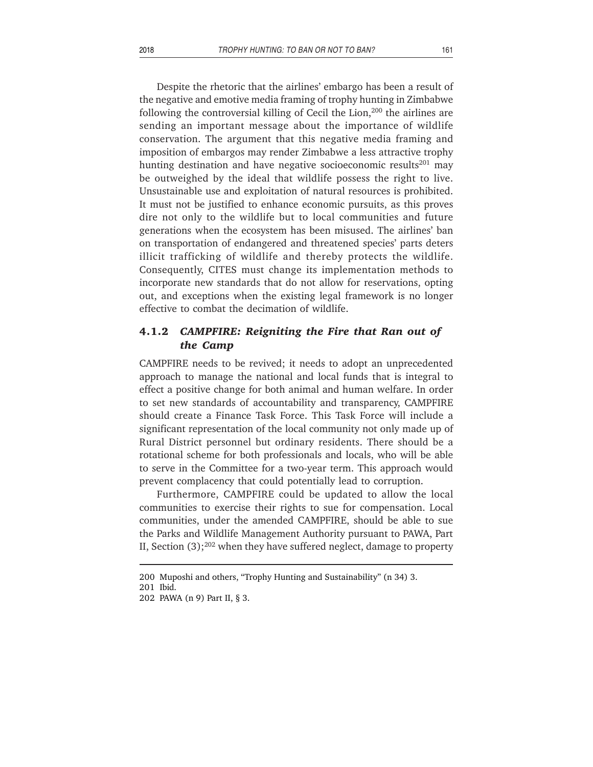Despite the rhetoric that the airlines' embargo has been a result of the negative and emotive media framing of trophy hunting in Zimbabwe following the controversial killing of Cecil the Lion,200 the airlines are sending an important message about the importance of wildlife conservation. The argument that this negative media framing and imposition of embargos may render Zimbabwe a less attractive trophy hunting destination and have negative socioeconomic results<sup>201</sup> may be outweighed by the ideal that wildlife possess the right to live. Unsustainable use and exploitation of natural resources is prohibited. It must not be justified to enhance economic pursuits, as this proves dire not only to the wildlife but to local communities and future generations when the ecosystem has been misused. The airlines' ban on transportation of endangered and threatened species' parts deters illicit trafficking of wildlife and thereby protects the wildlife. Consequently, CITES must change its implementation methods to incorporate new standards that do not allow for reservations, opting out, and exceptions when the existing legal framework is no longer effective to combat the decimation of wildlife.

### **4.1.2** *CAMPFIRE: Reigniting the Fire that Ran out of the Camp*

CAMPFIRE needs to be revived; it needs to adopt an unprecedented approach to manage the national and local funds that is integral to effect a positive change for both animal and human welfare. In order to set new standards of accountability and transparency, CAMPFIRE should create a Finance Task Force. This Task Force will include a significant representation of the local community not only made up of Rural District personnel but ordinary residents. There should be a rotational scheme for both professionals and locals, who will be able to serve in the Committee for a two-year term. This approach would prevent complacency that could potentially lead to corruption.

Furthermore, CAMPFIRE could be updated to allow the local communities to exercise their rights to sue for compensation. Local communities, under the amended CAMPFIRE, should be able to sue the Parks and Wildlife Management Authority pursuant to PAWA, Part II, Section  $(3)$ ;<sup>202</sup> when they have suffered neglect, damage to property

<sup>200</sup> Muposhi and others, "Trophy Hunting and Sustainability" (n 34) 3.

<sup>201</sup> Ibid.

<sup>202</sup> PAWA (n 9) Part II, § 3.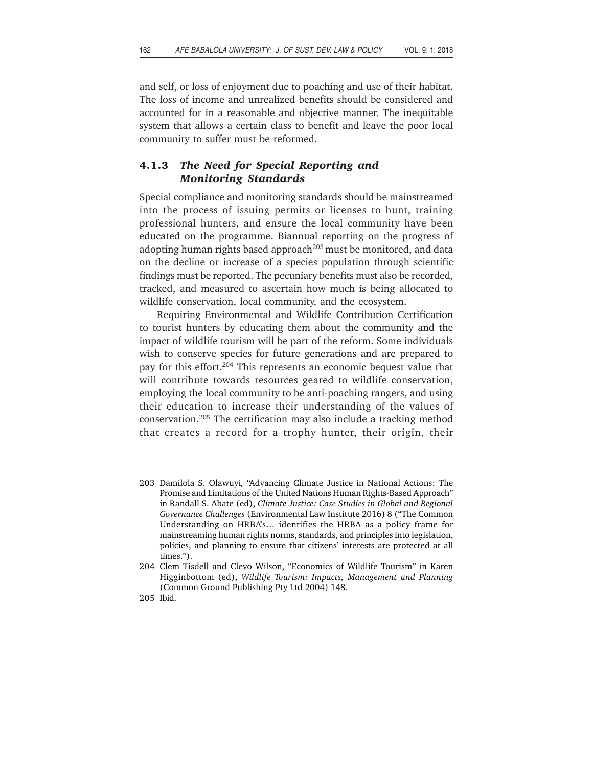and self, or loss of enjoyment due to poaching and use of their habitat. The loss of income and unrealized benefits should be considered and accounted for in a reasonable and objective manner. The inequitable system that allows a certain class to benefit and leave the poor local community to suffer must be reformed.

# **4.1.3** *The Need for Special Reporting and Monitoring Standards*

Special compliance and monitoring standards should be mainstreamed into the process of issuing permits or licenses to hunt, training professional hunters, and ensure the local community have been educated on the programme. Biannual reporting on the progress of adopting human rights based approach<sup>203</sup> must be monitored, and data on the decline or increase of a species population through scientific findings must be reported. The pecuniary benefits must also be recorded, tracked, and measured to ascertain how much is being allocated to wildlife conservation, local community, and the ecosystem.

Requiring Environmental and Wildlife Contribution Certification to tourist hunters by educating them about the community and the impact of wildlife tourism will be part of the reform. Some individuals wish to conserve species for future generations and are prepared to pay for this effort.<sup>204</sup> This represents an economic bequest value that will contribute towards resources geared to wildlife conservation, employing the local community to be anti-poaching rangers, and using their education to increase their understanding of the values of conservation.205 The certification may also include a tracking method that creates a record for a trophy hunter, their origin, their

<sup>203</sup> Damilola S. Olawuyi*,* "Advancing Climate Justice in National Actions: The Promise and Limitations of the United Nations Human Rights-Based Approach" in Randall S. Abate (ed), *Climate Justice: Case Studies in Global and Regional Governance Challenges* (Environmental Law Institute 2016) 8 ("The Common Understanding on HRBA's… identifies the HRBA as a policy frame for mainstreaming human rights norms, standards, and principles into legislation, policies, and planning to ensure that citizens' interests are protected at all times.").

<sup>204</sup> Clem Tisdell and Clevo Wilson, "Economics of Wildlife Tourism" in Karen Higginbottom (ed), *Wildlife Tourism: Impacts, Management and Planning* (Common Ground Publishing Pty Ltd 2004) 148.

<sup>205</sup> Ibid.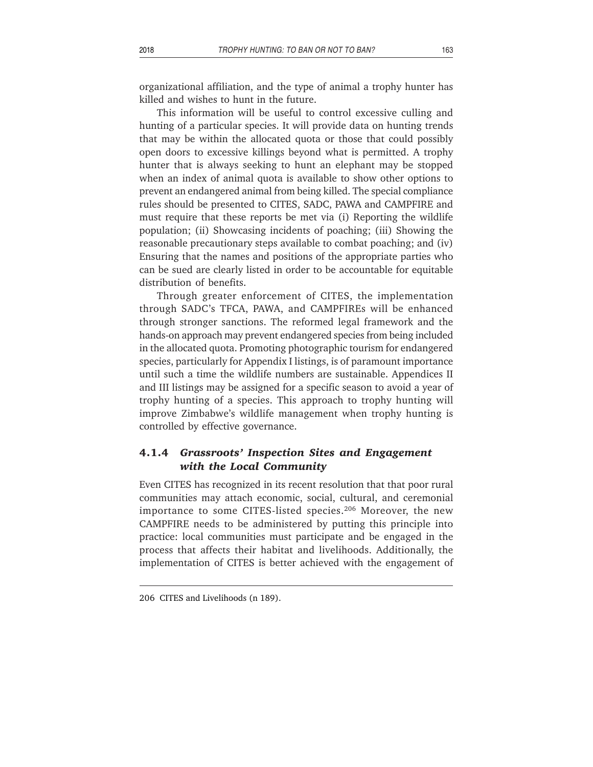organizational affiliation, and the type of animal a trophy hunter has killed and wishes to hunt in the future.

This information will be useful to control excessive culling and hunting of a particular species. It will provide data on hunting trends that may be within the allocated quota or those that could possibly open doors to excessive killings beyond what is permitted. A trophy hunter that is always seeking to hunt an elephant may be stopped when an index of animal quota is available to show other options to prevent an endangered animal from being killed. The special compliance rules should be presented to CITES, SADC, PAWA and CAMPFIRE and must require that these reports be met via (i) Reporting the wildlife population; (ii) Showcasing incidents of poaching; (iii) Showing the reasonable precautionary steps available to combat poaching; and (iv) Ensuring that the names and positions of the appropriate parties who can be sued are clearly listed in order to be accountable for equitable distribution of benefits.

Through greater enforcement of CITES, the implementation through SADC's TFCA, PAWA, and CAMPFIREs will be enhanced through stronger sanctions. The reformed legal framework and the hands-on approach may prevent endangered species from being included in the allocated quota. Promoting photographic tourism for endangered species, particularly for Appendix I listings, is of paramount importance until such a time the wildlife numbers are sustainable. Appendices II and III listings may be assigned for a specific season to avoid a year of trophy hunting of a species. This approach to trophy hunting will improve Zimbabwe's wildlife management when trophy hunting is controlled by effective governance.

# **4.1.4** *Grassroots' Inspection Sites and Engagement with the Local Community*

Even CITES has recognized in its recent resolution that that poor rural communities may attach economic, social, cultural, and ceremonial importance to some CITES-listed species.<sup>206</sup> Moreover, the new CAMPFIRE needs to be administered by putting this principle into practice: local communities must participate and be engaged in the process that affects their habitat and livelihoods. Additionally, the implementation of CITES is better achieved with the engagement of

<sup>206</sup> CITES and Livelihoods (n 189).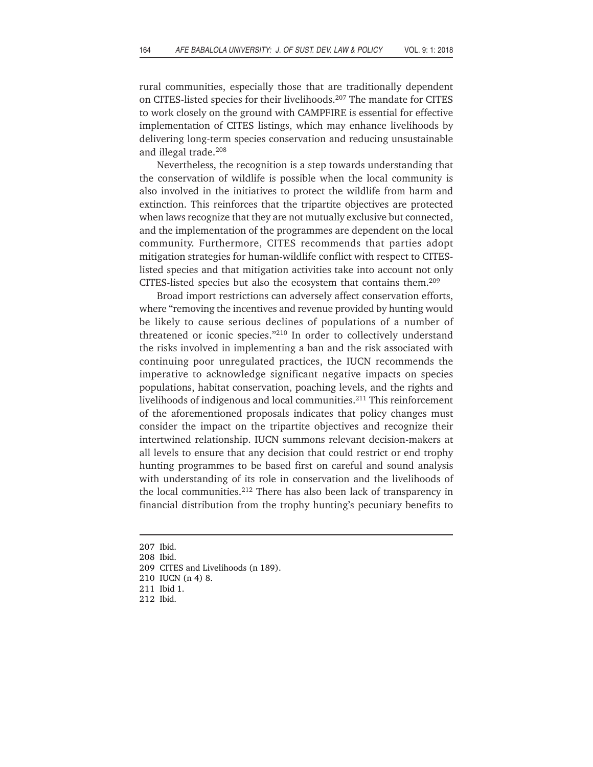rural communities, especially those that are traditionally dependent on CITES-listed species for their livelihoods.<sup>207</sup> The mandate for CITES to work closely on the ground with CAMPFIRE is essential for effective implementation of CITES listings, which may enhance livelihoods by delivering long-term species conservation and reducing unsustainable and illegal trade.208

Nevertheless, the recognition is a step towards understanding that the conservation of wildlife is possible when the local community is also involved in the initiatives to protect the wildlife from harm and extinction. This reinforces that the tripartite objectives are protected when laws recognize that they are not mutually exclusive but connected, and the implementation of the programmes are dependent on the local community. Furthermore, CITES recommends that parties adopt mitigation strategies for human-wildlife conflict with respect to CITESlisted species and that mitigation activities take into account not only CITES-listed species but also the ecosystem that contains them.209

Broad import restrictions can adversely affect conservation efforts, where "removing the incentives and revenue provided by hunting would be likely to cause serious declines of populations of a number of threatened or iconic species."210 In order to collectively understand the risks involved in implementing a ban and the risk associated with continuing poor unregulated practices, the IUCN recommends the imperative to acknowledge significant negative impacts on species populations, habitat conservation, poaching levels, and the rights and livelihoods of indigenous and local communities.<sup>211</sup> This reinforcement of the aforementioned proposals indicates that policy changes must consider the impact on the tripartite objectives and recognize their intertwined relationship. IUCN summons relevant decision-makers at all levels to ensure that any decision that could restrict or end trophy hunting programmes to be based first on careful and sound analysis with understanding of its role in conservation and the livelihoods of the local communities.212 There has also been lack of transparency in financial distribution from the trophy hunting's pecuniary benefits to

- 210 IUCN (n 4) 8.
- 211 Ibid 1.

<sup>207</sup> Ibid.

<sup>208</sup> Ibid.

<sup>209</sup> CITES and Livelihoods (n 189).

<sup>212</sup> Ibid.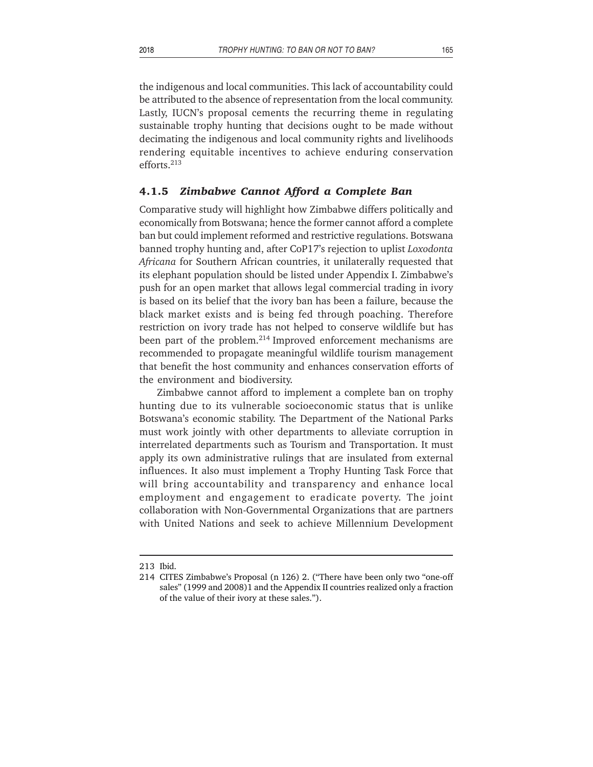the indigenous and local communities. This lack of accountability could be attributed to the absence of representation from the local community. Lastly, IUCN's proposal cements the recurring theme in regulating sustainable trophy hunting that decisions ought to be made without decimating the indigenous and local community rights and livelihoods rendering equitable incentives to achieve enduring conservation efforts.213

#### **4.1.5** *Zimbabwe Cannot Afford a Complete Ban*

Comparative study will highlight how Zimbabwe differs politically and economically from Botswana; hence the former cannot afford a complete ban but could implement reformed and restrictive regulations. Botswana banned trophy hunting and, after CoP17's rejection to uplist *Loxodonta Africana* for Southern African countries, it unilaterally requested that its elephant population should be listed under Appendix I. Zimbabwe's push for an open market that allows legal commercial trading in ivory is based on its belief that the ivory ban has been a failure, because the black market exists and is being fed through poaching. Therefore restriction on ivory trade has not helped to conserve wildlife but has been part of the problem.<sup>214</sup> Improved enforcement mechanisms are recommended to propagate meaningful wildlife tourism management that benefit the host community and enhances conservation efforts of the environment and biodiversity.

Zimbabwe cannot afford to implement a complete ban on trophy hunting due to its vulnerable socioeconomic status that is unlike Botswana's economic stability. The Department of the National Parks must work jointly with other departments to alleviate corruption in interrelated departments such as Tourism and Transportation. It must apply its own administrative rulings that are insulated from external influences. It also must implement a Trophy Hunting Task Force that will bring accountability and transparency and enhance local employment and engagement to eradicate poverty. The joint collaboration with Non-Governmental Organizations that are partners with United Nations and seek to achieve Millennium Development

<sup>213</sup> Ibid.

<sup>214</sup> CITES Zimbabwe's Proposal (n 126) 2. ("There have been only two "one-off sales" (1999 and 2008)1 and the Appendix II countries realized only a fraction of the value of their ivory at these sales.").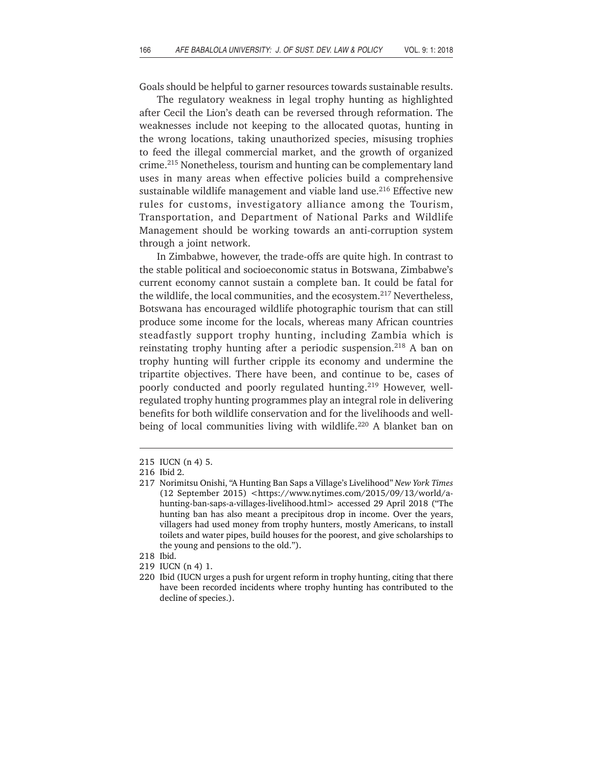Goals should be helpful to garner resources towards sustainable results.

The regulatory weakness in legal trophy hunting as highlighted after Cecil the Lion's death can be reversed through reformation. The weaknesses include not keeping to the allocated quotas, hunting in the wrong locations, taking unauthorized species, misusing trophies to feed the illegal commercial market, and the growth of organized crime.215 Nonetheless, tourism and hunting can be complementary land uses in many areas when effective policies build a comprehensive sustainable wildlife management and viable land use.<sup>216</sup> Effective new rules for customs, investigatory alliance among the Tourism, Transportation, and Department of National Parks and Wildlife Management should be working towards an anti-corruption system through a joint network.

In Zimbabwe, however, the trade-offs are quite high. In contrast to the stable political and socioeconomic status in Botswana, Zimbabwe's current economy cannot sustain a complete ban. It could be fatal for the wildlife, the local communities, and the ecosystem.<sup>217</sup> Nevertheless, Botswana has encouraged wildlife photographic tourism that can still produce some income for the locals, whereas many African countries steadfastly support trophy hunting, including Zambia which is reinstating trophy hunting after a periodic suspension.<sup>218</sup> A ban on trophy hunting will further cripple its economy and undermine the tripartite objectives. There have been, and continue to be, cases of poorly conducted and poorly regulated hunting.<sup>219</sup> However, wellregulated trophy hunting programmes play an integral role in delivering benefits for both wildlife conservation and for the livelihoods and wellbeing of local communities living with wildlife.<sup>220</sup> A blanket ban on

- 218 Ibid.
- 219 IUCN (n 4) 1.

<sup>215</sup> IUCN (n 4) 5.

<sup>216</sup> Ibid 2.

<sup>217</sup> Norimitsu Onishi, "A Hunting Ban Saps a Village's Livelihood" *New York Times*  $(12$  September 2015) <https://www.nytimes.com/2015/09/13/world/ahunting-ban-saps-a-villages-livelihood.html> accessed 29 April 2018 ("The hunting ban has also meant a precipitous drop in income. Over the years, villagers had used money from trophy hunters, mostly Americans, to install toilets and water pipes, build houses for the poorest, and give scholarships to the young and pensions to the old.").

<sup>220</sup> Ibid (IUCN urges a push for urgent reform in trophy hunting, citing that there have been recorded incidents where trophy hunting has contributed to the decline of species.).